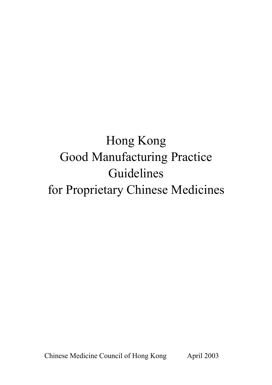# Hong Kong Good Manufacturing Practice Guidelines for Proprietary Chinese Medicines

April 2003 Chinese Medicine Council of Hong Kong April 2003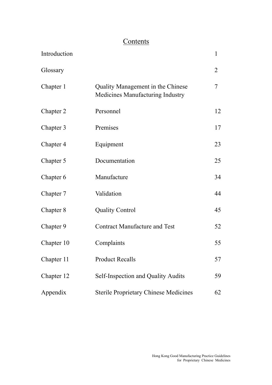# **Contents**

| Introduction |                                                                       | 1  |
|--------------|-----------------------------------------------------------------------|----|
| Glossary     |                                                                       | 2  |
| Chapter 1    | Quality Management in the Chinese<br>Medicines Manufacturing Industry | 7  |
| Chapter 2    | Personnel                                                             | 12 |
| Chapter 3    | Premises                                                              | 17 |
| Chapter 4    | Equipment                                                             | 23 |
| Chapter 5    | Documentation                                                         | 25 |
| Chapter 6    | Manufacture                                                           | 34 |
| Chapter 7    | Validation                                                            | 44 |
| Chapter 8    | <b>Quality Control</b>                                                | 45 |
| Chapter 9    | <b>Contract Manufacture and Test</b>                                  | 52 |
| Chapter 10   | Complaints                                                            | 55 |
| Chapter 11   | <b>Product Recalls</b>                                                | 57 |
| Chapter 12   | <b>Self-Inspection and Quality Audits</b>                             | 59 |
| Appendix     | <b>Sterile Proprietary Chinese Medicines</b>                          | 62 |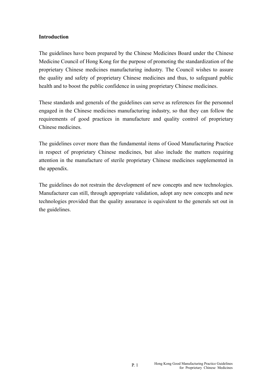### **Introduction**

The guidelines have been prepared by the Chinese Medicines Board under the Chinese Medicine Council of Hong Kong for the purpose of promoting the standardization of the proprietary Chinese medicines manufacturing industry. The Council wishes to assure the quality and safety of proprietary Chinese medicines and thus, to safeguard public health and to boost the public confidence in using proprietary Chinese medicines.

These standards and generals of the guidelines can serve as references for the personnel engaged in the Chinese medicines manufacturing industry, so that they can follow the requirements of good practices in manufacture and quality control of proprietary Chinese medicines.

The guidelines cover more than the fundamental items of Good Manufacturing Practice in respect of proprietary Chinese medicines, but also include the matters requiring attention in the manufacture of sterile proprietary Chinese medicines supplemented in the appendix.

The guidelines do not restrain the development of new concepts and new technologies. Manufacturer can still, through appropriate validation, adopt any new concepts and new technologies provided that the quality assurance is equivalent to the generals set out in the guidelines.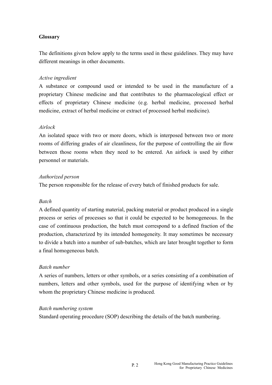### **Glossary**

The definitions given below apply to the terms used in these guidelines. They may have different meanings in other documents.

#### *Active ingredient*

A substance or compound used or intended to be used in the manufacture of a proprietary Chinese medicine and that contributes to the pharmacological effect or effects of proprietary Chinese medicine (e.g. herbal medicine, processed herbal medicine, extract of herbal medicine or extract of processed herbal medicine).

#### *Airlock*

An isolated space with two or more doors, which is interposed between two or more rooms of differing grades of air cleanliness, for the purpose of controlling the air flow between those rooms when they need to be entered. An airlock is used by either personnel or materials.

#### *Authorized person*

The person responsible for the release of every batch of finished products for sale.

#### *Batch*

A defined quantity of starting material, packing material or product produced in a single process or series of processes so that it could be expected to be homogeneous. In the case of continuous production, the batch must correspond to a defined fraction of the production, characterized by its intended homogeneity. It may sometimes be necessary to divide a batch into a number of sub-batches, which are later brought together to form a final homogeneous batch.

#### *Batch number*

A series of numbers, letters or other symbols, or a series consisting of a combination of numbers, letters and other symbols, used for the purpose of identifying when or by whom the proprietary Chinese medicine is produced.

#### *Batch numbering system*

Standard operating procedure (SOP) describing the details of the batch numbering.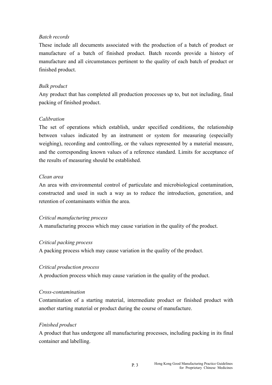### *Batch records*

These include all documents associated with the production of a batch of product or manufacture of a batch of finished product. Batch records provide a history of manufacture and all circumstances pertinent to the quality of each batch of product or finished product.

### *Bulk product*

Any product that has completed all production processes up to, but not including, final packing of finished product.

# *Calibration*

The set of operations which establish, under specified conditions, the relationship between values indicated by an instrument or system for measuring (especially weighing), recording and controlling, or the values represented by a material measure, and the corresponding known values of a reference standard. Limits for acceptance of the results of measuring should be established.

### *Clean area*

An area with environmental control of particulate and microbiological contamination, constructed and used in such a way as to reduce the introduction, generation, and retention of contaminants within the area.

### *Critical manufacturing process*

A manufacturing process which may cause variation in the quality of the product.

### *Critical packing process*

A packing process which may cause variation in the quality of the product.

### *Critical production process*

A production process which may cause variation in the quality of the product.

### *Cross-contamination*

Contamination of a starting material, intermediate product or finished product with another starting material or product during the course of manufacture.

# *Finished product*

A product that has undergone all manufacturing processes, including packing in its final container and labelling.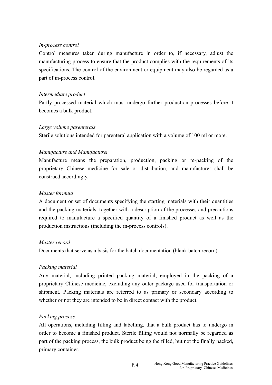#### *In-process control*

Control measures taken during manufacture in order to, if necessary, adjust the manufacturing process to ensure that the product complies with the requirements of its specifications. The control of the environment or equipment may also be regarded as a part of in-process control.

#### *Intermediate product*

Partly processed material which must undergo further production processes before it becomes a bulk product.

#### *Large volume parenterals*

Sterile solutions intended for parenteral application with a volume of 100 ml or more.

### *Manufacture and Manufacturer*

Manufacture means the preparation, production, packing or re-packing of the proprietary Chinese medicine for sale or distribution, and manufacturer shall be construed accordingly.

#### *Master formula*

A document or set of documents specifying the starting materials with their quantities and the packing materials, together with a description of the processes and precautions required to manufacture a specified quantity of a finished product as well as the production instructions (including the in-process controls).

#### *Master record*

Documents that serve as a basis for the batch documentation (blank batch record).

### *Packing material*

Any material, including printed packing material, employed in the packing of a proprietary Chinese medicine, excluding any outer package used for transportation or shipment. Packing materials are referred to as primary or secondary according to whether or not they are intended to be in direct contact with the product.

#### *Packing process*

All operations, including filling and labelling, that a bulk product has to undergo in order to become a finished product. Sterile filling would not normally be regarded as part of the packing process, the bulk product being the filled, but not the finally packed, primary container.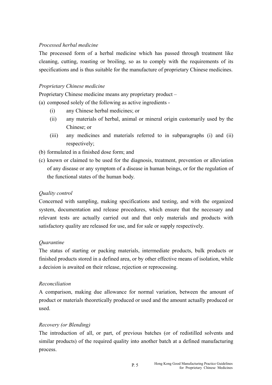### *Processed herbal medicine*

The processed form of a herbal medicine which has passed through treatment like cleaning, cutting, roasting or broiling, so as to comply with the requirements of its specifications and is thus suitable for the manufacture of proprietary Chinese medicines.

### *Proprietary Chinese medicine*

Proprietary Chinese medicine means any proprietary product –

(a) composed solely of the following as active ingredients -

- (i) any Chinese herbal medicines; or
- Chinese: or (ii) any materials of herbal, animal or mineral origin customarily used by the
- $(iii)$  any medicines and materials referred to in subparagraphs  $(i)$  and  $(ii)$ respectively:
- (b) formulated in a finished dose form; and
- (c) known or claimed to be used for the diagnosis, treatment, prevention or alleviation of any disease or any symptom of a disease in human beings, or for the regulation of the functional states of the human body.

### *Quality control*

Concerned with sampling, making specifications and testing, and with the organized system, documentation and release procedures, which ensure that the necessary and relevant tests are actually carried out and that only materials and products with satisfactory quality are released for use, and for sale or supply respectively.

### *Quarantine*

The status of starting or packing materials, intermediate products, bulk products or finished products stored in a defined area, or by other effective means of isolation, while a decision is awaited on their release, rejection or reprocessing.

### *Reconciliation*

A comparison, making due allowance for normal variation, between the amount of product or materials theoretically produced or used and the amount actually produced or used.

### *Recovery (or Blending)*

The introduction of all, or part, of previous batches (or of redistilled solvents and similar products) of the required quality into another batch at a defined manufacturing process.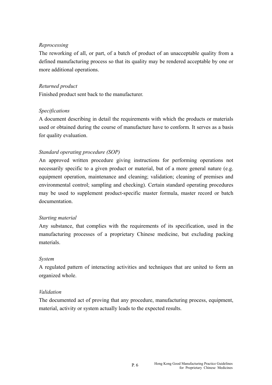### *Reprocessing*

The reworking of all, or part, of a batch of product of an unacceptable quality from a defined manufacturing process so that its quality may be rendered acceptable by one or more additional operations.

### *Returned product*

Finished product sent back to the manufacturer.

### *Specifications*

A document describing in detail the requirements with which the products or materials used or obtained during the course of manufacture have to conform. It serves as a basis for quality evaluation.

### *Standard operating procedure (SOP)*

An approved written procedure giving instructions for performing operations not necessarily specific to a given product or material, but of a more general nature (e.g. equipment operation, maintenance and cleaning; validation; cleaning of premises and environmental control; sampling and checking). Certain standard operating procedures may be used to supplement product-specific master formula, master record or batch documentation.

### *Starting material*

Any substance, that complies with the requirements of its specification, used in the manufacturing processes of a proprietary Chinese medicine, but excluding packing materials.

### *System*

A regulated pattern of interacting activities and techniques that are united to form an organized whole.

### *Validation*

The documented act of proving that any procedure, manufacturing process, equipment, material, activity or system actually leads to the expected results.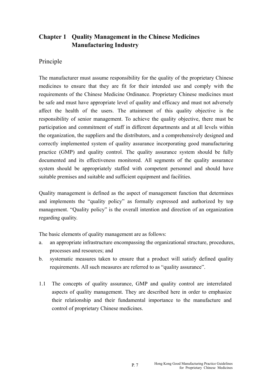# **Chapter 1 Quality Management in the Chinese Medicines Manufacturing Industry**

# Principle

The manufacturer must assume responsibility for the quality of the proprietary Chinese medicines to ensure that they are fit for their intended use and comply with the requirements of the Chinese Medicine Ordinance. Proprietary Chinese medicines must be safe and must have appropriate level of quality and efficacy and must not adversely affect the health of the users. The attainment of this quality objective is the responsibility of senior management. To achieve the quality objective, there must be participation and commitment of staff in different departments and at all levels within the organization, the suppliers and the distributors, and a comprehensively designed and correctly implemented system of quality assurance incorporating good manufacturing practice (GMP) and quality control. The quality assurance system should be fully documented and its effectiveness monitored. All segments of the quality assurance system should be appropriately staffed with competent personnel and should have suitable premises and suitable and sufficient equipment and facilities.

Quality management is defined as the aspect of management function that determines and implements the "quality policy" as formally expressed and authorized by top management. "Quality policy" is the overall intention and direction of an organization regarding quality.

The basic elements of quality management are as follows:

- a. an appropriate infrastructure encompassing the organizational structure, procedures, processes and resources; and
- b. systematic measures taken to ensure that a product will satisfy defined quality requirements. All such measures are referred to as "quality assurance".
- 1.1 The concepts of quality assurance, GMP and quality control are interrelated aspects of quality management. They are described here in order to emphasize their relationship and their fundamental importance to the manufacture and control of proprietary Chinese medicines.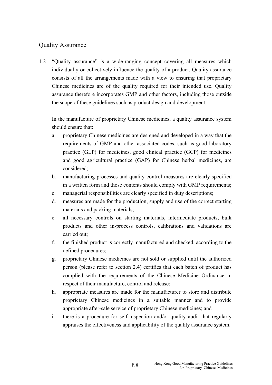# Quality Assurance

1.2 "Quality assurance" is a wide-ranging concept covering all measures which individually or collectively influence the quality of a product. Quality assurance consists of all the arrangements made with a view to ensuring that proprietary Chinese medicines are of the quality required for their intended use. Quality assurance therefore incorporates GMP and other factors, including those outside the scope of these guidelines such as product design and development.

In the manufacture of proprietary Chinese medicines, a quality assurance system should ensure that:

- a. proprietary Chinese medicines are designed and developed in a way that the requirements of GMP and other associated codes, such as good laboratory practice (GLP) for medicines, good clinical practice (GCP) for medicines and good agricultural practice (GAP) for Chinese herbal medicines, are considered;
- b. manufacturing processes and quality control measures are clearly specified in a written form and those contents should comply with GMP requirements;
- c. managerial responsibilities are clearly specified in duty descriptions;
- d. measures are made for the production, supply and use of the correct starting materials and packing materials;
- e. all necessary controls on starting materials, intermediate products, bulk products and other in-process controls, calibrations and validations are carried out;
- f. the finished product is correctly manufactured and checked, according to the defined procedures;
- g. proprietary Chinese medicines are not sold or supplied until the authorized person (please refer to section 2.4) certifies that each batch of product has complied with the requirements of the Chinese Medicine Ordinance in respect of their manufacture, control and release;
- h. appropriate measures are made for the manufacturer to store and distribute proprietary Chinese medicines in a suitable manner and to provide appropriate after-sale service of proprietary Chinese medicines; and
- i. there is a procedure for self-inspection and/or quality audit that regularly appraises the effectiveness and applicability of the quality assurance system.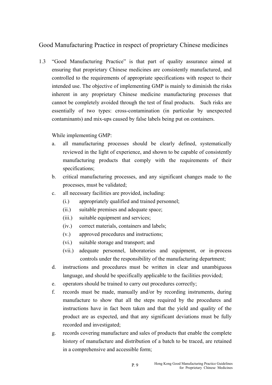# Good Manufacturing Practice in respect of proprietary Chinese medicines

1.3 "Good Manufacturing Practice" is that part of quality assurance aimed at ensuring that proprietary Chinese medicines are consistently manufactured, and controlled to the requirements of appropriate specifications with respect to their intended use. The objective of implementing GMP is mainly to diminish the risks inherent in any proprietary Chinese medicine manufacturing processes that cannot be completely avoided through the test of final products. Such risks are essentially of two types: cross-contamination (in particular by unexpected contaminants) and mix-ups caused by false labels being put on containers.

While implementing GMP:

- a. all manufacturing processes should be clearly defined, systematically reviewed in the light of experience, and shown to be capable of consistently manufacturing products that comply with the requirements of their specifications;
- b. critical manufacturing processes, and any significant changes made to the processes, must be validated;
- c. all necessary facilities are provided, including:
	- (i.) appropriately qualified and trained personnel;
	- (ii.) suitable premises and adequate space;
	- (iii.) suitable equipment and services;
	- (iv.) correct materials, containers and labels;
	- (v.) approved procedures and instructions;
	- (vi.) suitable storage and transport; and
	- (vii.) adequate personnel, laboratories and equipment, or in-process controls under the responsibility of the manufacturing department;
- d. instructions and procedures must be written in clear and unambiguous language, and should be specifically applicable to the facilities provided;
- e. operators should be trained to carry out procedures correctly;
- f. records must be made, manually and/or by recording instruments, during manufacture to show that all the steps required by the procedures and instructions have in fact been taken and that the yield and quality of the product are as expected, and that any significant deviations must be fully recorded and investigated;
- g. records covering manufacture and sales of products that enable the complete history of manufacture and distribution of a batch to be traced, are retained in a comprehensive and accessible form;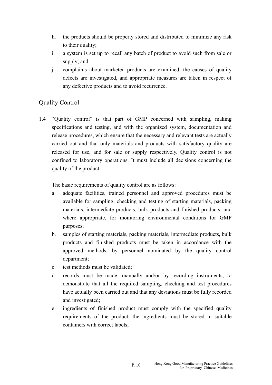- h. the products should be properly stored and distributed to minimize any risk to their quality;
- i. a system is set up to recall any batch of product to avoid such from sale or supply; and
- j. complaints about marketed products are examined, the causes of quality defects are investigated, and appropriate measures are taken in respect of any defective products and to avoid recurrence.

# Quality Control

1.4 "Quality control" is that part of GMP concerned with sampling, making specifications and testing, and with the organized system, documentation and release procedures, which ensure that the necessary and relevant tests are actually carried out and that only materials and products with satisfactory quality are released for use, and for sale or supply respectively. Quality control is not confined to laboratory operations. It must include all decisions concerning the quality of the product.

The basic requirements of quality control are as follows:

- a. adequate facilities, trained personnel and approved procedures must be available for sampling, checking and testing of starting materials, packing materials, intermediate products, bulk products and finished products, and where appropriate, for monitoring environmental conditions for GMP purposes;
- b. samples of starting materials, packing materials, intermediate products, bulk products and finished products must be taken in accordance with the approved methods, by personnel nominated by the quality control department;
- c. test methods must be validated;
- d. records must be made, manually and/or by recording instruments, to demonstrate that all the required sampling, checking and test procedures have actually been carried out and that any deviations must be fully recorded and investigated;
- e. ingredients of finished product must comply with the specified quality requirements of the product; the ingredients must be stored in suitable containers with correct labels;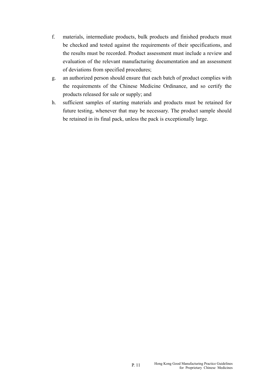- f. materials, intermediate products, bulk products and finished products must be checked and tested against the requirements of their specifications, and the results must be recorded. Product assessment must include a review and evaluation of the relevant manufacturing documentation and an assessment of deviations from specified procedures;
- g. an authorized person should ensure that each batch of product complies with the requirements of the Chinese Medicine Ordinance, and so certify the products released for sale or supply; and
- h. sufficient samples of starting materials and products must be retained for future testing, whenever that may be necessary. The product sample should be retained in its final pack, unless the pack is exceptionally large.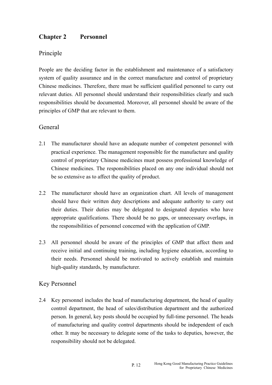# **Chapter 2 Personnel**

# Principle

People are the deciding factor in the establishment and maintenance of a satisfactory system of quality assurance and in the correct manufacture and control of proprietary Chinese medicines. Therefore, there must be sufficient qualified personnel to carry out relevant duties. All personnel should understand their responsibilities clearly and such responsibilities should be documented. Moreover, all personnel should be aware of the principles of GMP that are relevant to them.

# **General**

- 2.1 The manufacturer should have an adequate number of competent personnel with practical experience. The management responsible for the manufacture and quality control of proprietary Chinese medicines must possess professional knowledge of Chinese medicines. The responsibilities placed on any one individual should not be so extensive as to affect the quality of product.
- 2.2 The manufacturer should have an organization chart. All levels of management should have their written duty descriptions and adequate authority to carry out their duties. Their duties may be delegated to designated deputies who have appropriate qualifications. There should be no gaps, or unnecessary overlaps, in the responsibilities of personnel concerned with the application of GMP.
- 2.3 All personnel should be aware of the principles of GMP that affect them and receive initial and continuing training, including hygiene education, according to their needs. Personnel should be motivated to actively establish and maintain high-quality standards, by manufacturer.

# Key Personnel

2.4 Key personnel includes the head of manufacturing department, the head of quality control department, the head of sales/distribution department and the authorized person. In general, key posts should be occupied by full-time personnel. The heads of manufacturing and quality control departments should be independent of each other. It may be necessary to delegate some of the tasks to deputies, however, the responsibility should not be delegated.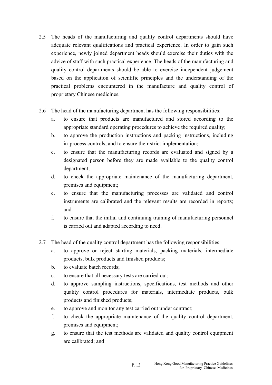- 2.5 The heads of the manufacturing and quality control departments should have adequate relevant qualifications and practical experience. In order to gain such experience, newly joined department heads should exercise their duties with the advice of staff with such practical experience. The heads of the manufacturing and quality control departments should be able to exercise independent judgement based on the application of scientific principles and the understanding of the practical problems encountered in the manufacture and quality control of proprietary Chinese medicines.
- 2.6 The head of the manufacturing department has the following responsibilities:
	- a. to ensure that products are manufactured and stored according to the appropriate standard operating procedures to achieve the required quality;
	- b. to approve the production instructions and packing instructions, including in-process controls, and to ensure their strict implementation;
	- c. to ensure that the manufacturing records are evaluated and signed by a designated person before they are made available to the quality control department;
	- d. to check the appropriate maintenance of the manufacturing department, premises and equipment;
	- e. to ensure that the manufacturing processes are validated and control instruments are calibrated and the relevant results are recorded in reports; and
	- f. to ensure that the initial and continuing training of manufacturing personnel is carried out and adapted according to need.
- 2.7 The head of the quality control department has the following responsibilities:
	- a. to approve or reject starting materials, packing materials, intermediate products, bulk products and finished products;
	- b. to evaluate batch records;
	- c. to ensure that all necessary tests are carried out;
	- d. to approve sampling instructions, specifications, test methods and other quality control procedures for materials, intermediate products, bulk products and finished products;
	- e. to approve and monitor any test carried out under contract;
	- f. to check the appropriate maintenance of the quality control department, premises and equipment;
	- g. to ensure that the test methods are validated and quality control equipment are calibrated; and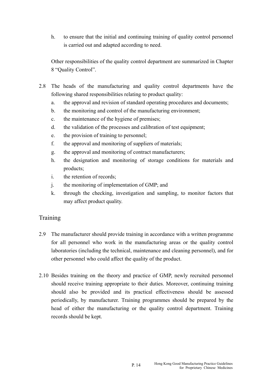h. to ensure that the initial and continuing training of quality control personnel is carried out and adapted according to need.

Other responsibilities of the quality control department are summarized in Chapter 8 "Quality Control".

- 2.8 The heads of the manufacturing and quality control departments have the following shared responsibilities relating to product quality:
	- a. the approval and revision of standard operating procedures and documents;
	- b. the monitoring and control of the manufacturing environment;
	- c. the maintenance of the hygiene of premises;
	- d. the validation of the processes and calibration of test equipment;
	- e. the provision of training to personnel;
	- f. the approval and monitoring of suppliers of materials;
	- g. the approval and monitoring of contract manufacturers;
	- h. the designation and monitoring of storage conditions for materials and products;
	- i. the retention of records;
	- j. the monitoring of implementation of GMP; and
	- k. through the checking, investigation and sampling, to monitor factors that may affect product quality.

# Training

- 2.9 The manufacturer should provide training in accordance with a written programme for all personnel who work in the manufacturing areas or the quality control laboratories (including the technical, maintenance and cleaning personnel), and for other personnel who could affect the quality of the product.
- 2.10 Besides training on the theory and practice of GMP, newly recruited personnel should receive training appropriate to their duties. Moreover, continuing training should also be provided and its practical effectiveness should be assessed periodically, by manufacturer. Training programmes should be prepared by the head of either the manufacturing or the quality control department. Training records should be kept.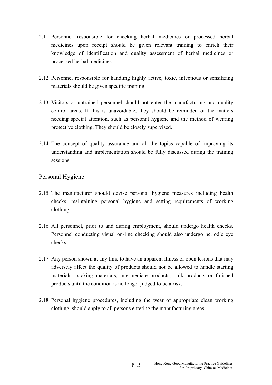- 2.11 Personnel responsible for checking herbal medicines or processed herbal medicines upon receipt should be given relevant training to enrich their knowledge of identification and quality assessment of herbal medicines or processed herbal medicines.
- 2.12 Personnel responsible for handling highly active, toxic, infectious or sensitizing materials should be given specific training.
- 2.13 Visitors or untrained personnel should not enter the manufacturing and quality control areas. If this is unavoidable, they should be reminded of the matters needing special attention, such as personal hygiene and the method of wearing protective clothing. They should be closely supervised.
- 2.14 The concept of quality assurance and all the topics capable of improving its understanding and implementation should be fully discussed during the training sessions.

# Personal Hygiene

- 2.15 The manufacturer should devise personal hygiene measures including health checks, maintaining personal hygiene and setting requirements of working clothing.
- 2.16 All personnel, prior to and during employment, should undergo health checks. Personnel conducting visual on-line checking should also undergo periodic eye checks.
- 2.17 Any person shown at any time to have an apparent illness or open lesions that may adversely affect the quality of products should not be allowed to handle starting materials, packing materials, intermediate products, bulk products or finished products until the condition is no longer judged to be a risk.
- 2.18 Personal hygiene procedures, including the wear of appropriate clean working clothing, should apply to all persons entering the manufacturing areas.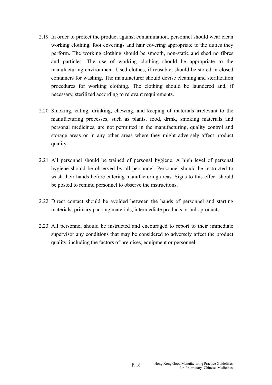- 2.19 In order to protect the product against contamination, personnel should wear clean working clothing, foot coverings and hair covering appropriate to the duties they perform. The working clothing should be smooth, non-static and shed no fibres and particles. The use of working clothing should be appropriate to the manufacturing environment. Used clothes, if reusable, should be stored in closed containers for washing. The manufacturer should devise cleaning and sterilization procedures for working clothing. The clothing should be laundered and, if necessary, sterilized according to relevant requirements.
- 2.20 Smoking, eating, drinking, chewing, and keeping of materials irrelevant to the manufacturing processes, such as plants, food, drink, smoking materials and personal medicines, are not permitted in the manufacturing, quality control and storage areas or in any other areas where they might adversely affect product quality.
- 2.21 All personnel should be trained of personal hygiene. A high level of personal hygiene should be observed by all personnel. Personnel should be instructed to wash their hands before entering manufacturing areas. Signs to this effect should be posted to remind personnel to observe the instructions.
- 2.22 Direct contact should be avoided between the hands of personnel and starting materials, primary packing materials, intermediate products or bulk products.
- 2.23 All personnel should be instructed and encouraged to report to their immediate supervisor any conditions that may be considered to adversely affect the product quality, including the factors of premises, equipment or personnel.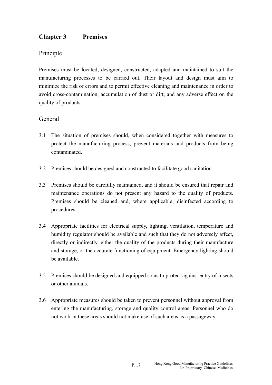# **Chapter 3 Premises**

# Principle

Premises must be located, designed, constructed, adapted and maintained to suit the manufacturing processes to be carried out. Their layout and design must aim to minimize the risk of errors and to permit effective cleaning and maintenance in order to avoid cross-contamination, accumulation of dust or dirt, and any adverse effect on the quality of products.

# General

- 3.1 The situation of premises should, when considered together with measures to protect the manufacturing process, prevent materials and products from being contaminated.
- 3.2 Premises should be designed and constructed to facilitate good sanitation.
- 3.3 Premises should be carefully maintained, and it should be ensured that repair and maintenance operations do not present any hazard to the quality of products. Premises should be cleaned and, where applicable, disinfected according to procedures.
- 3.4 Appropriate facilities for electrical supply, lighting, ventilation, temperature and humidity regulator should be available and such that they do not adversely affect, directly or indirectly, either the quality of the products during their manufacture and storage, or the accurate functioning of equipment. Emergency lighting should be available.
- 3.5 Premises should be designed and equipped so as to protect against entry of insects or other animals.
- 3.6 Appropriate measures should be taken to prevent personnel without approval from entering the manufacturing, storage and quality control areas. Personnel who do not work in these areas should not make use of such areas as a passageway.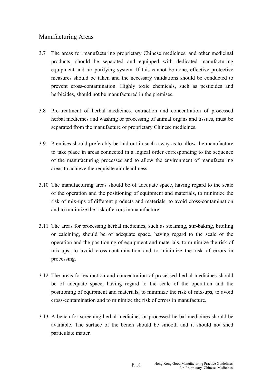# Manufacturing Areas

- 3.7 The areas for manufacturing proprietary Chinese medicines, and other medicinal products, should be separated and equipped with dedicated manufacturing equipment and air purifying system. If this cannot be done, effective protective measures should be taken and the necessary validations should be conducted to prevent cross-contamination. Highly toxic chemicals, such as pesticides and herbicides, should not be manufactured in the premises.
- 3.8 Pre-treatment of herbal medicines, extraction and concentration of processed herbal medicines and washing or processing of animal organs and tissues, must be separated from the manufacture of proprietary Chinese medicines.
- 3.9 Premises should preferably be laid out in such a way as to allow the manufacture to take place in areas connected in a logical order corresponding to the sequence of the manufacturing processes and to allow the environment of manufacturing areas to achieve the requisite air cleanliness.
- 3.10 The manufacturing areas should be of adequate space, having regard to the scale of the operation and the positioning of equipment and materials, to minimize the risk of mix-ups of different products and materials, to avoid cross-contamination and to minimize the risk of errors in manufacture.
- 3.11 The areas for processing herbal medicines, such as steaming, stir-baking, broiling or calcining, should be of adequate space, having regard to the scale of the operation and the positioning of equipment and materials, to minimize the risk of mix-ups, to avoid cross-contamination and to minimize the risk of errors in processing.
- 3.12 The areas for extraction and concentration of processed herbal medicines should be of adequate space, having regard to the scale of the operation and the positioning of equipment and materials, to minimize the risk of mix-ups, to avoid cross-contamination and to minimize the risk of errors in manufacture.
- 3.13 A bench for screening herbal medicines or processed herbal medicines should be available. The surface of the bench should be smooth and it should not shed particulate matter.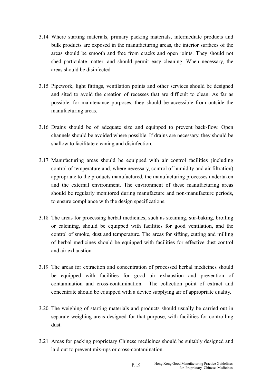- 3.14 Where starting materials, primary packing materials, intermediate products and bulk products are exposed in the manufacturing areas, the interior surfaces of the areas should be smooth and free from cracks and open joints. They should not shed particulate matter, and should permit easy cleaning. When necessary, the areas should be disinfected.
- 3.15 Pipework, light fittings, ventilation points and other services should be designed and sited to avoid the creation of recesses that are difficult to clean. As far as possible, for maintenance purposes, they should be accessible from outside the manufacturing areas.
- 3.16 Drains should be of adequate size and equipped to prevent back-flow. Open channels should be avoided where possible. If drains are necessary, they should be shallow to facilitate cleaning and disinfection.
- 3.17 Manufacturing areas should be equipped with air control facilities (including control of temperature and, where necessary, control of humidity and air filtration) appropriate to the products manufactured, the manufacturing processes undertaken and the external environment. The environment of these manufacturing areas should be regularly monitored during manufacture and non-manufacture periods, to ensure compliance with the design specifications.
- 3.18 The areas for processing herbal medicines, such as steaming, stir-baking, broiling or calcining, should be equipped with facilities for good ventilation, and the control of smoke, dust and temperature. The areas for sifting, cutting and milling of herbal medicines should be equipped with facilities for effective dust control and air exhaustion.
- 3.19 The areas for extraction and concentration of processed herbal medicines should be equipped with facilities for good air exhaustion and prevention of contamination and cross-contamination. The collection point of extract and concentrate should be equipped with a device supplying air of appropriate quality.
- 3.20 The weighing of starting materials and products should usually be carried out in separate weighing areas designed for that purpose, with facilities for controlling dust.
- 3.21 Areas for packing proprietary Chinese medicines should be suitably designed and laid out to prevent mix-ups or cross-contamination.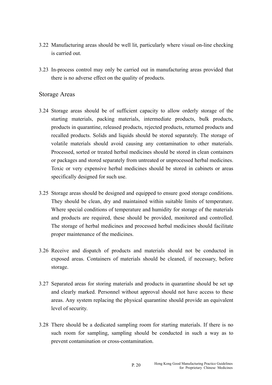- 3.22 Manufacturing areas should be well lit, particularly where visual on-line checking is carried out.
- 3.23 In-process control may only be carried out in manufacturing areas provided that there is no adverse effect on the quality of products.

# Storage Areas

- 3.24 Storage areas should be of sufficient capacity to allow orderly storage of the starting materials, packing materials, intermediate products, bulk products, products in quarantine, released products, rejected products, returned products and recalled products. Solids and liquids should be stored separately. The storage of volatile materials should avoid causing any contamination to other materials. Processed, sorted or treated herbal medicines should be stored in clean containers or packages and stored separately from untreated or unprocessed herbal medicines. Toxic or very expensive herbal medicines should be stored in cabinets or areas specifically designed for such use.
- 3.25 Storage areas should be designed and equipped to ensure good storage conditions. They should be clean, dry and maintained within suitable limits of temperature. Where special conditions of temperature and humidity for storage of the materials and products are required, these should be provided, monitored and controlled. The storage of herbal medicines and processed herbal medicines should facilitate proper maintenance of the medicines.
- 3.26 Receive and dispatch of products and materials should not be conducted in exposed areas. Containers of materials should be cleaned, if necessary, before storage.
- 3.27 Separated areas for storing materials and products in quarantine should be set up and clearly marked. Personnel without approval should not have access to these areas. Any system replacing the physical quarantine should provide an equivalent level of security.
- 3.28 There should be a dedicated sampling room for starting materials. If there is no such room for sampling, sampling should be conducted in such a way as to prevent contamination or cross-contamination.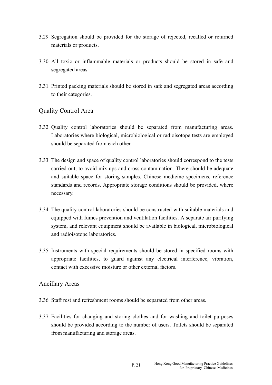- 3.29 Segregation should be provided for the storage of rejected, recalled or returned materials or products.
- 3.30 All toxic or inflammable materials or products should be stored in safe and segregated areas.
- 3.31 Printed packing materials should be stored in safe and segregated areas according to their categories.

# Quality Control Area

- 3.32 Quality control laboratories should be separated from manufacturing areas. Laboratories where biological, microbiological or radioisotope tests are employed should be separated from each other.
- 3.33 The design and space of quality control laboratories should correspond to the tests carried out, to avoid mix-ups and cross-contamination. There should be adequate and suitable space for storing samples, Chinese medicine specimens, reference standards and records. Appropriate storage conditions should be provided, where necessary.
- 3.34 The quality control laboratories should be constructed with suitable materials and equipped with fumes prevention and ventilation facilities. A separate air purifying system, and relevant equipment should be available in biological, microbiological and radioisotope laboratories.
- 3.35 Instruments with special requirements should be stored in specified rooms with appropriate facilities, to guard against any electrical interference, vibration, contact with excessive moisture or other external factors.

# Ancillary Areas

- 3.36 Staff rest and refreshment rooms should be separated from other areas.
- 3.37 Facilities for changing and storing clothes and for washing and toilet purposes should be provided according to the number of users. Toilets should be separated from manufacturing and storage areas.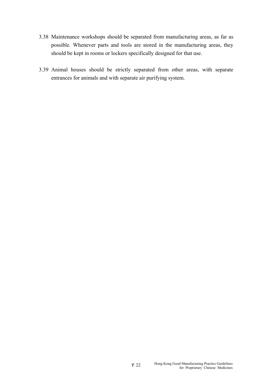- 3.38 Maintenance workshops should be separated from manufacturing areas, as far as possible. Whenever parts and tools are stored in the manufacturing areas, they should be kept in rooms or lockers specifically designed for that use.
- 3.39 Animal houses should be strictly separated from other areas, with separate entrances for animals and with separate air purifying system.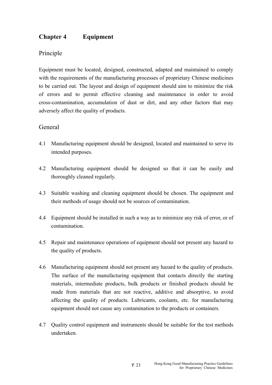# **Chapter 4 Equipment**

# Principle

Equipment must be located, designed, constructed, adapted and maintained to comply with the requirements of the manufacturing processes of proprietary Chinese medicines to be carried out. The layout and design of equipment should aim to minimize the risk of errors and to permit effective cleaning and maintenance in order to avoid cross-contamination, accumulation of dust or dirt, and any other factors that may adversely affect the quality of products.

# General

- 4.1 Manufacturing equipment should be designed, located and maintained to serve its intended purposes.
- 4.2 Manufacturing equipment should be designed so that it can be easily and thoroughly cleaned regularly.
- 4.3 Suitable washing and cleaning equipment should be chosen. The equipment and their methods of usage should not be sources of contamination.
- 4.4 Equipment should be installed in such a way as to minimize any risk of error, or of contamination.
- 4.5 Repair and maintenance operations of equipment should not present any hazard to the quality of products.
- 4.6 Manufacturing equipment should not present any hazard to the quality of products. The surface of the manufacturing equipment that contacts directly the starting materials, intermediate products, bulk products or finished products should be made from materials that are not reactive, additive and absorptive, to avoid affecting the quality of products. Lubricants, coolants, etc. for manufacturing equipment should not cause any contamination to the products or containers.
- 4.7 Quality control equipment and instruments should be suitable for the test methods undertaken.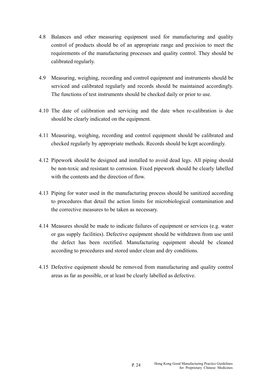- 4.8 Balances and other measuring equipment used for manufacturing and quality control of products should be of an appropriate range and precision to meet the requirements of the manufacturing processes and quality control. They should be calibrated regularly.
- 4.9 Measuring, weighing, recording and control equipment and instruments should be serviced and calibrated regularly and records should be maintained accordingly. The functions of test instruments should be checked daily or prior to use.
- 4.10 The date of calibration and servicing and the date when re-calibration is due should be clearly indicated on the equipment.
- 4.11 Measuring, weighing, recording and control equipment should be calibrated and checked regularly by appropriate methods. Records should be kept accordingly.
- 4.12 Pipework should be designed and installed to avoid dead legs. All piping should be non-toxic and resistant to corrosion. Fixed pipework should be clearly labelled with the contents and the direction of flow.
- 4.13 Piping for water used in the manufacturing process should be sanitized according to procedures that detail the action limits for microbiological contamination and the corrective measures to be taken as necessary.
- 4.14 Measures should be made to indicate failures of equipment or services (e.g. water or gas supply facilities). Defective equipment should be withdrawn from use until the defect has been rectified. Manufacturing equipment should be cleaned according to procedures and stored under clean and dry conditions.
- 4.15 Defective equipment should be removed from manufacturing and quality control areas as far as possible, or at least be clearly labelled as defective.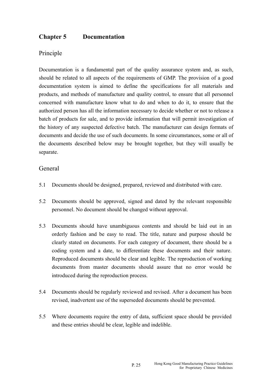# **Chapter 5 Documentation**

# Principle

Documentation is a fundamental part of the quality assurance system and, as such, should be related to all aspects of the requirements of GMP. The provision of a good documentation system is aimed to define the specifications for all materials and products, and methods of manufacture and quality control, to ensure that all personnel concerned with manufacture know what to do and when to do it, to ensure that the authorized person has all the information necessary to decide whether or not to release a batch of products for sale, and to provide information that will permit investigation of the history of any suspected defective batch. The manufacturer can design formats of documents and decide the use of such documents. In some circumstances, some or all of the documents described below may be brought together, but they will usually be separate.

# General

- 5.1 Documents should be designed, prepared, reviewed and distributed with care.
- 5.2 Documents should be approved, signed and dated by the relevant responsible personnel. No document should be changed without approval.
- 5.3 Documents should have unambiguous contents and should be laid out in an orderly fashion and be easy to read. The title, nature and purpose should be clearly stated on documents. For each category of document, there should be a coding system and a date, to differentiate these documents and their nature. Reproduced documents should be clear and legible. The reproduction of working documents from master documents should assure that no error would be introduced during the reproduction process.
- 5.4 Documents should be regularly reviewed and revised. After a document has been revised, inadvertent use of the superseded documents should be prevented.
- 5.5 Where documents require the entry of data, sufficient space should be provided and these entries should be clear, legible and indelible.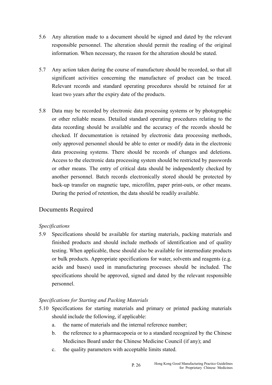- 5.6 Any alteration made to a document should be signed and dated by the relevant responsible personnel. The alteration should permit the reading of the original information. When necessary, the reason for the alteration should be stated.
- 5.7 Any action taken during the course of manufacture should be recorded, so that all significant activities concerning the manufacture of product can be traced. Relevant records and standard operating procedures should be retained for at least two years after the expiry date of the products.
- 5.8 Data may be recorded by electronic data processing systems or by photographic or other reliable means. Detailed standard operating procedures relating to the data recording should be available and the accuracy of the records should be checked. If documentation is retained by electronic data processing methods, only approved personnel should be able to enter or modify data in the electronic data processing systems. There should be records of changes and deletions. Access to the electronic data processing system should be restricted by passwords or other means. The entry of critical data should be independently checked by another personnel. Batch records electronically stored should be protected by back-up transfer on magnetic tape, microfilm, paper print-outs, or other means. During the period of retention, the data should be readily available.

# Documents Required

# *Specifications*

5.9 Specifications should be available for starting materials, packing materials and finished products and should include methods of identification and of quality testing. When applicable, these should also be available for intermediate products or bulk products. Appropriate specifications for water, solvents and reagents (e.g. acids and bases) used in manufacturing processes should be included. The specifications should be approved, signed and dated by the relevant responsible personnel.

# *Specifications for Starting and Packing Materials*

- 5.10 Specifications for starting materials and primary or printed packing materials should include the following, if applicable:
	- a. the name of materials and the internal reference number;
	- b. the reference to a pharmacopoeia or to a standard recognized by the Chinese Medicines Board under the Chinese Medicine Council (if any); and
	- c. the quality parameters with acceptable limits stated.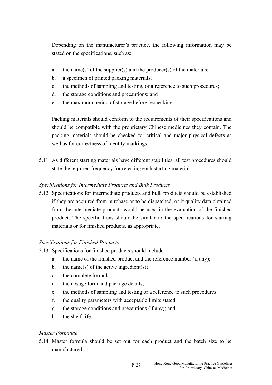Depending on the manufacturer's practice, the following information may be stated on the specifications, such as:

- a. the name(s) of the supplier(s) and the producer(s) of the materials;
- b. a specimen of printed packing materials;
- c. the methods of sampling and testing, or a reference to such procedures;
- d. the storage conditions and precautions; and
- e. the maximum period of storage before rechecking.

Packing materials should conform to the requirements of their specifications and should be compatible with the proprietary Chinese medicines they contain. The packing materials should be checked for critical and major physical defects as well as for correctness of identity markings.

5.11 As different starting materials have different stabilities, all test procedures should state the required frequency for retesting each starting material.

# *Specifications for Intermediate Products and Bulk Products*

5.12 Specifications for intermediate products and bulk products should be established if they are acquired from purchase or to be dispatched, or if quality data obtained from the intermediate products would be used in the evaluation of the finished product. The specifications should be similar to the specifications for starting materials or for finished products, as appropriate.

# *Specifications for Finished Products*

- 5.13 Specifications for finished products should include:
	- a. the name of the finished product and the reference number (if any);
	- b. the name(s) of the active ingredient(s);
	- c. the complete formula;
	- d. the dosage form and package details;
	- e. the methods of sampling and testing or a reference to such procedures;
	- f. the quality parameters with acceptable limits stated;
	- g. the storage conditions and precautions (if any); and
	- h. the shelf-life.

# *Master Formulae*

5.14 Master formula should be set out for each product and the batch size to be manufactured.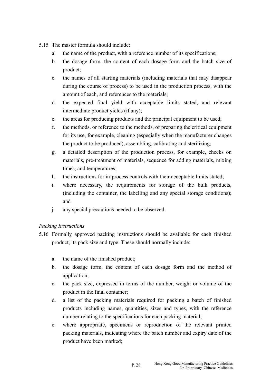- 5.15 The master formula should include:
	- a. the name of the product, with a reference number of its specifications;
	- b. the dosage form, the content of each dosage form and the batch size of product;
	- c. the names of all starting materials (including materials that may disappear during the course of process) to be used in the production process, with the amount of each, and references to the materials;
	- d. the expected final yield with acceptable limits stated, and relevant intermediate product yields (if any);
	- e. the areas for producing products and the principal equipment to be used;
	- f. the methods, or reference to the methods, of preparing the critical equipment for its use, for example, cleaning (especially when the manufacturer changes the product to be produced), assembling, calibrating and sterilizing;
	- g. a detailed description of the production process, for example, checks on materials, pre-treatment of materials, sequence for adding materials, mixing times, and temperatures;
	- h. the instructions for in-process controls with their acceptable limits stated;
	- i. where necessary, the requirements for storage of the bulk products, (including the container, the labelling and any special storage conditions); and
	- j. any special precautions needed to be observed.

# *Packing Instructions*

- 5.16 Formally approved packing instructions should be available for each finished product, its pack size and type. These should normally include:
	- a. the name of the finished product;
	- b. the dosage form, the content of each dosage form and the method of application;
	- c. the pack size, expressed in terms of the number, weight or volume of the product in the final container;
	- d. a list of the packing materials required for packing a batch of finished products including names, quantities, sizes and types, with the reference number relating to the specifications for each packing material;
	- e. where appropriate, specimens or reproduction of the relevant printed packing materials, indicating where the batch number and expiry date of the product have been marked;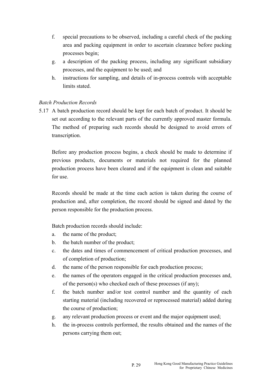- f. special precautions to be observed, including a careful check of the packing area and packing equipment in order to ascertain clearance before packing processes begin;
- g. a description of the packing process, including any significant subsidiary processes, and the equipment to be used; and
- h. instructions for sampling, and details of in-process controls with acceptable limits stated.

### *Batch Production Records*

5.17 A batch production record should be kept for each batch of product. It should be set out according to the relevant parts of the currently approved master formula. The method of preparing such records should be designed to avoid errors of transcription.

Before any production process begins, a check should be made to determine if previous products, documents or materials not required for the planned production process have been cleared and if the equipment is clean and suitable for use.

Records should be made at the time each action is taken during the course of production and, after completion, the record should be signed and dated by the person responsible for the production process.

Batch production records should include:

- a. the name of the product;
- b. the batch number of the product;
- c. the dates and times of commencement of critical production processes, and of completion of production;
- d. the name of the person responsible for each production process;
- e. the names of the operators engaged in the critical production processes and, of the person(s) who checked each of these processes (if any);
- f. the batch number and/or test control number and the quantity of each starting material (including recovered or reprocessed material) added during the course of production;
- g. any relevant production process or event and the major equipment used;
- h. the in-process controls performed, the results obtained and the names of the persons carrying them out;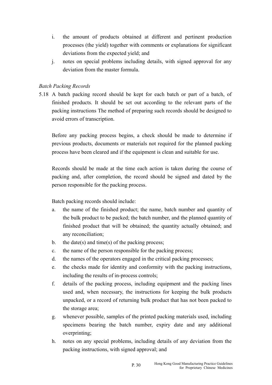- i. the amount of products obtained at different and pertinent production processes (the yield) together with comments or explanations for significant deviations from the expected yield; and
- j. notes on special problems including details, with signed approval for any deviation from the master formula.

# *Batch Packing Records*

5.18 A batch packing record should be kept for each batch or part of a batch, of finished products. It should be set out according to the relevant parts of the packing instructions The method of preparing such records should be designed to avoid errors of transcription.

Before any packing process begins, a check should be made to determine if previous products, documents or materials not required for the planned packing process have been cleared and if the equipment is clean and suitable for use.

Records should be made at the time each action is taken during the course of packing and, after completion, the record should be signed and dated by the person responsible for the packing process.

Batch packing records should include:

- a. the name of the finished product; the name, batch number and quantity of the bulk product to be packed; the batch number, and the planned quantity of finished product that will be obtained; the quantity actually obtained; and any reconciliation;
- b. the date(s) and time(s) of the packing process;
- c. the name of the person responsible for the packing process;
- d. the names of the operators engaged in the critical packing processes;
- e. the checks made for identity and conformity with the packing instructions, including the results of in-process controls;
- f. details of the packing process, including equipment and the packing lines used and, when necessary, the instructions for keeping the bulk products unpacked, or a record of returning bulk product that has not been packed to the storage area;
- g. whenever possible, samples of the printed packing materials used, including specimens bearing the batch number, expiry date and any additional overprinting;
- h. notes on any special problems, including details of any deviation from the packing instructions, with signed approval; and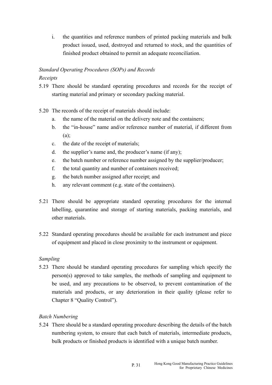i. the quantities and reference numbers of printed packing materials and bulk product issued, used, destroyed and returned to stock, and the quantities of finished product obtained to permit an adequate reconciliation.

# *Standard Operating Procedures (SOPs) and Records*

# *Receipts*

- 5.19 There should be standard operating procedures and records for the receipt of starting material and primary or secondary packing material.
- 5.20 The records of the receipt of materials should include:
	- a. the name of the material on the delivery note and the containers;
	- b. the "in-house" name and/or reference number of material, if different from  $(a)$ :
	- c. the date of the receipt of materials;
	- d. the supplier's name and, the producer's name (if any);
	- e. the batch number or reference number assigned by the supplier/producer;
	- f. the total quantity and number of containers received:
	- g. the batch number assigned after receipt; and
	- h. any relevant comment (e.g. state of the containers).
- 5.21 There should be appropriate standard operating procedures for the internal labelling, quarantine and storage of starting materials, packing materials, and other materials.
- 5.22 Standard operating procedures should be available for each instrument and piece of equipment and placed in close proximity to the instrument or equipment.

# *Sampling*

5.23 There should be standard operating procedures for sampling which specify the person(s) approved to take samples, the methods of sampling and equipment to be used, and any precautions to be observed, to prevent contamination of the materials and products, or any deterioration in their quality (please refer to Chapter 8 "Quality Control").

# *Batch Numbering*

5.24 There should be a standard operating procedure describing the details of the batch numbering system, to ensure that each batch of materials, intermediate products, bulk products or finished products is identified with a unique batch number.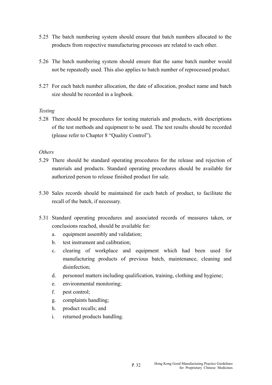- 5.25 The batch numbering system should ensure that batch numbers allocated to the products from respective manufacturing processes are related to each other.
- 5.26 The batch numbering system should ensure that the same batch number would not be repeatedly used. This also applies to batch number of reprocessed product.
- 5.27 For each batch number allocation, the date of allocation, product name and batch size should be recorded in a logbook.

#### *Testing*

5.28 There should be procedures for testing materials and products, with descriptions of the test methods and equipment to be used. The test results should be recorded (please refer to Chapter 8 "Quality Control").

#### *Others*

- 5.29 There should be standard operating procedures for the release and rejection of materials and products. Standard operating procedures should be available for authorized person to release finished product for sale.
- 5.30 Sales records should be maintained for each batch of product, to facilitate the recall of the batch, if necessary.
- 5.31 Standard operating procedures and associated records of measures taken, or conclusions reached, should be available for:
	- a. equipment assembly and validation;
	- b. test instrument and calibration;
	- c. clearing of workplace and equipment which had been used for manufacturing products of previous batch, maintenance, cleaning and disinfection;
	- d. personnel matters including qualification, training, clothing and hygiene;
	- e. environmental monitoring;
	- f. pest control;
	- g. complaints handling;
	- h. product recalls; and
	- i. returned products handling.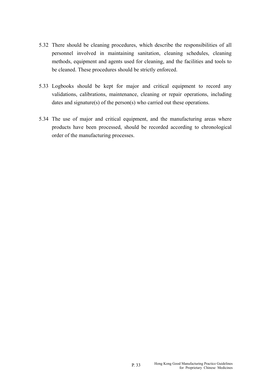- 5.32 There should be cleaning procedures, which describe the responsibilities of all personnel involved in maintaining sanitation, cleaning schedules, cleaning methods, equipment and agents used for cleaning, and the facilities and tools to be cleaned. These procedures should be strictly enforced.
- 5.33 Logbooks should be kept for major and critical equipment to record any validations, calibrations, maintenance, cleaning or repair operations, including dates and signature(s) of the person(s) who carried out these operations.
- 5.34 The use of major and critical equipment, and the manufacturing areas where products have been processed, should be recorded according to chronological order of the manufacturing processes.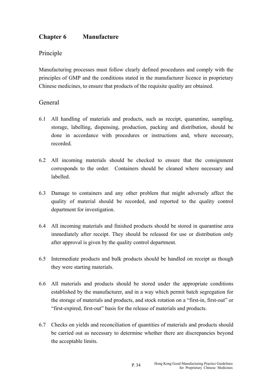# **Chapter 6 Manufacture**

# Principle

Manufacturing processes must follow clearly defined procedures and comply with the principles of GMP and the conditions stated in the manufacturer licence in proprietary Chinese medicines, to ensure that products of the requisite quality are obtained.

# General

- 6.1 All handling of materials and products, such as receipt, quarantine, sampling, storage, labelling, dispensing, production, packing and distribution, should be done in accordance with procedures or instructions and, where necessary, recorded.
- corresponds to the order. Containers should be cleaned where necessary and 6.2 All incoming materials should be checked to ensure that the consignment labelled.
- 6.3 Damage to containers and any other problem that might adversely affect the quality of material should be recorded, and reported to the quality control department for investigation.
- 6.4 All incoming materials and finished products should be stored in quarantine area immediately after receipt. They should be released for use or distribution only after approval is given by the quality control department.
- 6.5 Intermediate products and bulk products should be handled on receipt as though they were starting materials.
- 6.6 All materials and products should be stored under the appropriate conditions established by the manufacturer, and in a way which permit batch segregation for the storage of materials and products, and stock rotation on a "first-in, first-out" or "first-expired, first-out" basis for the release of materials and products.
- 6.7 Checks on yields and reconciliation of quantities of materials and products should be carried out as necessary to determine whether there are discrepancies beyond the acceptable limits.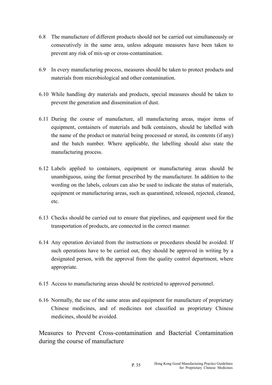- 6.8 The manufacture of different products should not be carried out simultaneously or consecutively in the same area, unless adequate measures have been taken to prevent any risk of mix-up or cross-contamination.
- 6.9 In every manufacturing process, measures should be taken to protect products and materials from microbiological and other contamination.
- 6.10 While handling dry materials and products, special measures should be taken to prevent the generation and dissemination of dust.
- 6.11 During the course of manufacture, all manufacturing areas, major items of equipment, containers of materials and bulk containers, should be labelled with the name of the product or material being processed or stored, its contents (if any) and the batch number. Where applicable, the labelling should also state the manufacturing process.
- 6.12 Labels applied to containers, equipment or manufacturing areas should be unambiguous, using the format prescribed by the manufacturer. In addition to the wording on the labels, colours can also be used to indicate the status of materials, equipment or manufacturing areas, such as quarantined, released, rejected, cleaned, etc.
- 6.13 Checks should be carried out to ensure that pipelines, and equipment used for the transportation of products, are connected in the correct manner.
- 6.14 Any operation deviated from the instructions or procedures should be avoided. If such operations have to be carried out, they should be approved in writing by a designated person, with the approval from the quality control department, where appropriate.
- 6.15 Access to manufacturing areas should be restricted to approved personnel.
- 6.16 Normally, the use of the same areas and equipment for manufacture of proprietary Chinese medicines, and of medicines not classified as proprietary Chinese medicines, should be avoided.

Measures to Prevent Cross-contamination and Bacterial Contamination during the course of manufacture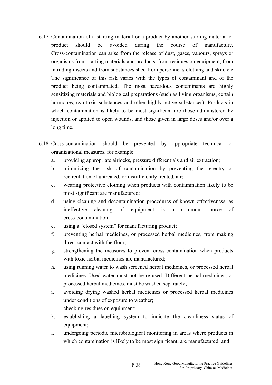- 6.17 Contamination of a starting material or a product by another starting material or product should be avoided during the course of manufacture. Cross-contamination can arise from the release of dust, gases, vapours, sprays or organisms from starting materials and products, from residues on equipment, from intruding insects and from substances shed from personnel's clothing and skin, etc. The significance of this risk varies with the types of contaminant and of the product being contaminated. The most hazardous contaminants are highly sensitizing materials and biological preparations (such as living organisms, certain hormones, cytotoxic substances and other highly active substances). Products in which contamination is likely to be most significant are those administered by injection or applied to open wounds, and those given in large doses and/or over a long time.
- 6.18 Cross-contamination should be prevented by appropriate technical or organizational measures, for example:
	- a. providing appropriate airlocks, pressure differentials and air extraction;
	- b. minimizing the risk of contamination by preventing the re-entry or recirculation of untreated, or insufficiently treated, air;
	- c. wearing protective clothing when products with contamination likely to be most significant are manufactured;
	- d. using cleaning and decontamination procedures of known effectiveness, as ineffective cleaning of equipment is a common source of cross-contamination;
	- e. using a "closed system" for manufacturing product;
	- f. preventing herbal medicines, or processed herbal medicines, from making direct contact with the floor;
	- g. strengthening the measures to prevent cross-contamination when products with toxic herbal medicines are manufactured:
	- h. using running water to wash screened herbal medicines, or processed herbal medicines. Used water must not be re-used. Different herbal medicines, or processed herbal medicines, must be washed separately;
	- i. avoiding drying washed herbal medicines or processed herbal medicines under conditions of exposure to weather;
	- j. checking residues on equipment;
	- k. establishing a labelling system to indicate the cleanliness status of equipment;
	- l. undergoing periodic microbiological monitoring in areas where products in which contamination is likely to be most significant, are manufactured; and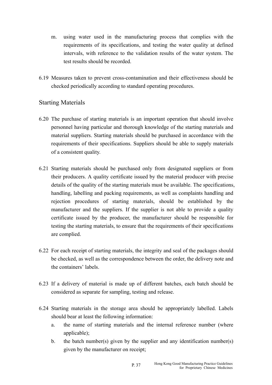- m. using water used in the manufacturing process that complies with the requirements of its specifications, and testing the water quality at defined intervals, with reference to the validation results of the water system. The test results should be recorded.
- 6.19 Measures taken to prevent cross-contamination and their effectiveness should be checked periodically according to standard operating procedures.

# Starting Materials

- 6.20 The purchase of starting materials is an important operation that should involve personnel having particular and thorough knowledge of the starting materials and material suppliers. Starting materials should be purchased in accordance with the requirements of their specifications. Suppliers should be able to supply materials of a consistent quality.
- 6.21 Starting materials should be purchased only from designated suppliers or from their producers. A quality certificate issued by the material producer with precise details of the quality of the starting materials must be available. The specifications, handling, labelling and packing requirements, as well as complaints handling and rejection procedures of starting materials, should be established by the manufacturer and the suppliers. If the supplier is not able to provide a quality certificate issued by the producer, the manufacturer should be responsible for testing the starting materials, to ensure that the requirements of their specifications are complied.
- 6.22 For each receipt of starting materials, the integrity and seal of the packages should be checked, as well as the correspondence between the order, the delivery note and the containers' labels.
- 6.23 If a delivery of material is made up of different batches, each batch should be considered as separate for sampling, testing and release.
- 6.24 Starting materials in the storage area should be appropriately labelled. Labels should bear at least the following information:
	- a. the name of starting materials and the internal reference number (where applicable);
	- b. the batch number(s) given by the supplier and any identification number(s) given by the manufacturer on receipt;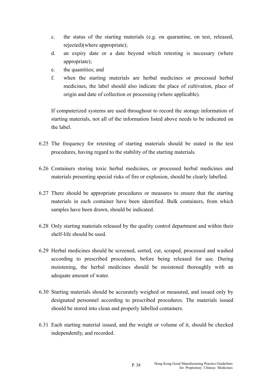- c. the status of the starting materials (e.g. on quarantine, on test, released, rejected)(where appropriate);
- d. an expiry date or a date beyond which retesting is necessary (where appropriate);
- e. the quantities; and
- f. when the starting materials are herbal medicines or processed herbal medicines, the label should also indicate the place of cultivation, place of origin and date of collection or processing (where applicable).

If computerized systems are used throughout to record the storage information of starting materials, not all of the information listed above needs to be indicated on the label.

- 6.25 The frequency for retesting of starting materials should be stated in the test procedures, having regard to the stability of the starting materials.
- 6.26 Containers storing toxic herbal medicines, or processed herbal medicines and materials presenting special risks of fire or explosion, should be clearly labelled.
- 6.27 There should be appropriate procedures or measures to ensure that the starting materials in each container have been identified. Bulk containers, from which samples have been drawn, should be indicated.
- 6.28 Only starting materials released by the quality control department and within their shelf-life should be used.
- 6.29 Herbal medicines should be screened, sorted, cut, scraped, processed and washed according to prescribed procedures, before being released for use. During moistening, the herbal medicines should be moistened thoroughly with an adequate amount of water.
- 6.30 Starting materials should be accurately weighed or measured, and issued only by designated personnel according to prescribed procedures. The materials issued should be stored into clean and properly labelled containers.
- 6.31 Each starting material issued, and the weight or volume of it, should be checked independently, and recorded.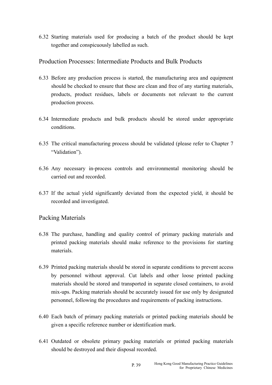6.32 Starting materials used for producing a batch of the product should be kept together and conspicuously labelled as such.

### Production Processes: Intermediate Products and Bulk Products

- 6.33 Before any production process is started, the manufacturing area and equipment should be checked to ensure that these are clean and free of any starting materials, products, product residues, labels or documents not relevant to the current production process.
- 6.34 Intermediate products and bulk products should be stored under appropriate conditions.
- 6.35 The critical manufacturing process should be validated (please refer to Chapter 7 "Validation").
- 6.36 Any necessary in-process controls and environmental monitoring should be carried out and recorded.
- 6.37 If the actual yield significantly deviated from the expected yield, it should be recorded and investigated.

### Packing Materials

- 6.38 The purchase, handling and quality control of primary packing materials and printed packing materials should make reference to the provisions for starting materials.
- 6.39 Printed packing materials should be stored in separate conditions to prevent access by personnel without approval. Cut labels and other loose printed packing materials should be stored and transported in separate closed containers, to avoid mix-ups. Packing materials should be accurately issued for use only by designated personnel, following the procedures and requirements of packing instructions.
- 6.40 Each batch of primary packing materials or printed packing materials should be given a specific reference number or identification mark.
- 6.41 Outdated or obsolete primary packing materials or printed packing materials should be destroyed and their disposal recorded.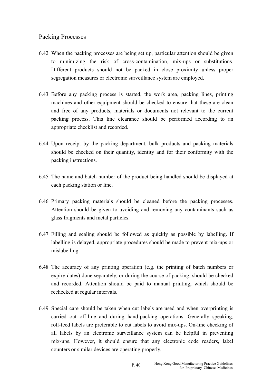# Packing Processes

- 6.42 When the packing processes are being set up, particular attention should be given to minimizing the risk of cross-contamination, mix-ups or substitutions. Different products should not be packed in close proximity unless proper segregation measures or electronic surveillance system are employed.
- 6.43 Before any packing process is started, the work area, packing lines, printing machines and other equipment should be checked to ensure that these are clean and free of any products, materials or documents not relevant to the current packing process. This line clearance should be performed according to an appropriate checklist and recorded.
- 6.44 Upon receipt by the packing department, bulk products and packing materials should be checked on their quantity, identity and for their conformity with the packing instructions.
- 6.45 The name and batch number of the product being handled should be displayed at each packing station or line.
- 6.46 Primary packing materials should be cleaned before the packing processes. Attention should be given to avoiding and removing any contaminants such as glass fragments and metal particles.
- 6.47 Filling and sealing should be followed as quickly as possible by labelling. If labelling is delayed, appropriate procedures should be made to prevent mix-ups or mislabelling.
- 6.48 The accuracy of any printing operation (e.g. the printing of batch numbers or expiry dates) done separately, or during the course of packing, should be checked and recorded. Attention should be paid to manual printing, which should be rechecked at regular intervals.
- 6.49 Special care should be taken when cut labels are used and when overprinting is carried out off-line and during hand-packing operations. Generally speaking, roll-feed labels are preferable to cut labels to avoid mix-ups. On-line checking of all labels by an electronic surveillance system can be helpful in preventing mix-ups. However, it should ensure that any electronic code readers, label counters or similar devices are operating properly.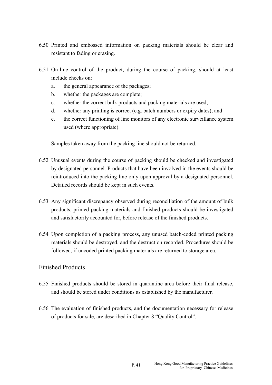- 6.50 Printed and embossed information on packing materials should be clear and resistant to fading or erasing.
- 6.51 On-line control of the product, during the course of packing, should at least include checks on:
	- a. the general appearance of the packages;
	- b. whether the packages are complete;
	- c. whether the correct bulk products and packing materials are used;
	- d. whether any printing is correct (e.g. batch numbers or expiry dates); and
	- e. the correct functioning of line monitors of any electronic surveillance system used (where appropriate).

Samples taken away from the packing line should not be returned.

- 6.52 Unusual events during the course of packing should be checked and investigated by designated personnel. Products that have been involved in the events should be reintroduced into the packing line only upon approval by a designated personnel. Detailed records should be kept in such events.
- 6.53 Any significant discrepancy observed during reconciliation of the amount of bulk products, printed packing materials and finished products should be investigated and satisfactorily accounted for, before release of the finished products.
- 6.54 Upon completion of a packing process, any unused batch-coded printed packing materials should be destroyed, and the destruction recorded. Procedures should be followed, if uncoded printed packing materials are returned to storage area.

# Finished Products

- 6.55 Finished products should be stored in quarantine area before their final release, and should be stored under conditions as established by the manufacturer.
- 6.56 The evaluation of finished products, and the documentation necessary for release of products for sale, are described in Chapter 8 "Quality Control".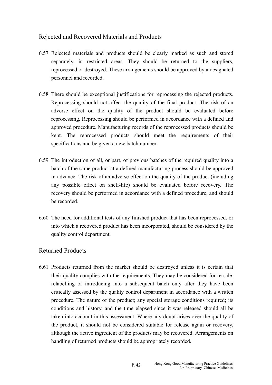# Rejected and Recovered Materials and Products

- 6.57 Rejected materials and products should be clearly marked as such and stored separately, in restricted areas. They should be returned to the suppliers, reprocessed or destroyed. These arrangements should be approved by a designated personnel and recorded.
- specifications and be given a new batch number. 6.58 There should be exceptional justifications for reprocessing the rejected products. Reprocessing should not affect the quality of the final product. The risk of an adverse effect on the quality of the product should be evaluated before reprocessing. Reprocessing should be performed in accordance with a defined and approved procedure. Manufacturing records of the reprocessed products should be kept. The reprocessed products should meet the requirements of their
- 6.59 The introduction of all, or part, of previous batches of the required quality into a batch of the same product at a defined manufacturing process should be approved in advance. The risk of an adverse effect on the quality of the product (including any possible effect on shelf-life) should be evaluated before recovery. The recovery should be performed in accordance with a defined procedure, and should be recorded.
- 6.60 The need for additional tests of any finished product that has been reprocessed, or into which a recovered product has been incorporated, should be considered by the quality control department.

### Returned Products

6.61 Products returned from the market should be destroyed unless it is certain that their quality complies with the requirements. They may be considered for re-sale, relabelling or introducing into a subsequent batch only after they have been critically assessed by the quality control department in accordance with a written procedure. The nature of the product; any special storage conditions required; its conditions and history, and the time elapsed since it was released should all be taken into account in this assessment. Where any doubt arises over the quality of the product, it should not be considered suitable for release again or recovery, although the active ingredient of the products may be recovered. Arrangements on handling of returned products should be appropriately recorded.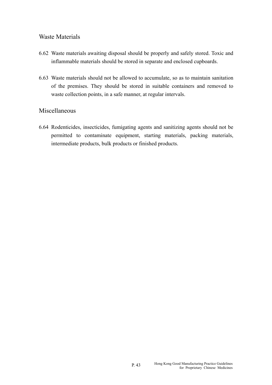### Waste Materials

- 6.62 Waste materials awaiting disposal should be properly and safely stored. Toxic and inflammable materials should be stored in separate and enclosed cupboards.
- 6.63 Waste materials should not be allowed to accumulate, so as to maintain sanitation of the premises. They should be stored in suitable containers and removed to waste collection points, in a safe manner, at regular intervals.

### Miscellaneous

6.64 Rodenticides, insecticides, fumigating agents and sanitizing agents should not be permitted to contaminate equipment, starting materials, packing materials, intermediate products, bulk products or finished products.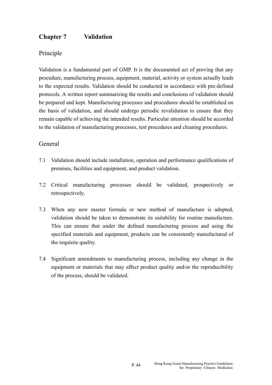# **Chapter 7 Validation**

# Principle

Validation is a fundamental part of GMP. It is the documented act of proving that any procedure, manufacturing process, equipment, material, activity or system actually leads to the expected results. Validation should be conducted in accordance with pre-defined protocols. A written report summarizing the results and conclusions of validation should be prepared and kept. Manufacturing processes and procedures should be established on the basis of validation, and should undergo periodic revalidation to ensure that they remain capable of achieving the intended results. Particular attention should be accorded to the validation of manufacturing processes, test procedures and cleaning procedures.

### General

- 7.1 Validation should include installation, operation and performance qualifications of premises, facilities and equipment, and product validation.
- 7.2 Critical manufacturing processes should be validated, prospectively or retrospectively.
- 7.3 When any new master formula or new method of manufacture is adopted, validation should be taken to demonstrate its suitability for routine manufacture. This can ensure that under the defined manufacturing process and using the specified materials and equipment, products can be consistently manufactured of the requisite quality.
- 7.4 Significant amendments to manufacturing process, including any change in the equipment or materials that may affect product quality and/or the reproducibility of the process, should be validated.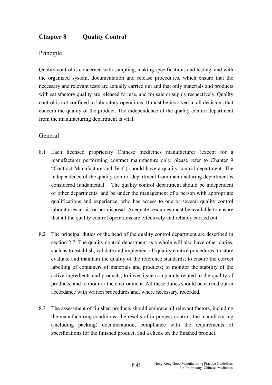# **Chapter 8 Quality Control**

### Principle

Quality control is concerned with sampling, making specifications and testing, and with the organized system, documentation and release procedures, which ensure that the necessary and relevant tests are actually carried out and that only materials and products with satisfactory quality are released for use, and for sale or supply respectively. Quality control is not confined to laboratory operations. It must be involved in all decisions that concern the quality of the product. The independence of the quality control department from the manufacturing department is vital.

### General

- 8.1 Each licensed proprietary Chinese medicines manufacturer (except for a manufacturer performing contract manufacture only, please refer to Chapter 9 "Contract Manufacture and Test") should have a quality control department. The independence of the quality control department from manufacturing department is considered fundamental. The quality control department should be independent of other departments, and be under the management of a person with appropriate qualifications and experience, who has access to one or several quality control laboratories at his or her disposal. Adequate resources must be available to ensure that all the quality control operations are effectively and reliably carried out.
- 8.2 The principal duties of the head of the quality control department are described in section 2.7. The quality control department as a whole will also have other duties, such as to establish, validate and implement all quality control procedures; to store, evaluate and maintain the quality of the reference standards; to ensure the correct labelling of containers of materials and products; to monitor the stability of the active ingredients and products; to investigate complaints related to the quality of products, and to monitor the environment. All these duties should be carried out in accordance with written procedures and, where necessary, recorded.
- 8.3 The assessment of finished products should embrace all relevant factors, including the manufacturing conditions; the results of in-process control; the manufacturing (including packing) documentation; compliance with the requirements of specifications for the finished product, and a check on the finished product.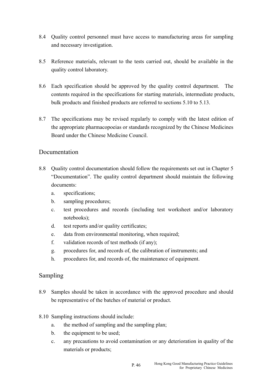- 8.4 Quality control personnel must have access to manufacturing areas for sampling and necessary investigation.
- 8.5 Reference materials, relevant to the tests carried out, should be available in the quality control laboratory.
- 8.6 Each specification should be approved by the quality control department. The contents required in the specifications for starting materials, intermediate products, bulk products and finished products are referred to sections 5.10 to 5.13.
- 8.7 The specifications may be revised regularly to comply with the latest edition of the appropriate pharmacopoeias or standards recognized by the Chinese Medicines Board under the Chinese Medicine Council.

### Documentation

- 8.8 Ouality control documentation should follow the requirements set out in Chapter 5 "Documentation". The quality control department should maintain the following documents:
	- a. specifications;
	- b. sampling procedures;
	- c. test procedures and records (including test worksheet and/or laboratory notebooks);
	- d. test reports and/or quality certificates;
	- e. data from environmental monitoring, when required;
	- f. validation records of test methods (if any);
	- g. procedures for, and records of, the calibration of instruments; and
	- h. procedures for, and records of, the maintenance of equipment.

### Sampling

- 8.9 Samples should be taken in accordance with the approved procedure and should be representative of the batches of material or product.
- 8.10 Sampling instructions should include:
	- a. the method of sampling and the sampling plan;
	- b. the equipment to be used;
	- c. any precautions to avoid contamination or any deterioration in quality of the materials or products;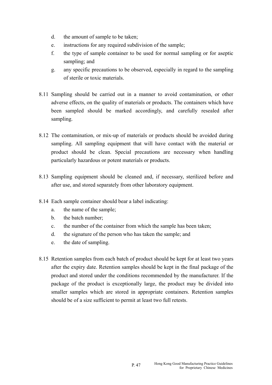- d. the amount of sample to be taken;
- e. instructions for any required subdivision of the sample;
- f. the type of sample container to be used for normal sampling or for aseptic sampling; and
- g. any specific precautions to be observed, especially in regard to the sampling of sterile or toxic materials.
- 8.11 Sampling should be carried out in a manner to avoid contamination, or other adverse effects, on the quality of materials or products. The containers which have been sampled should be marked accordingly, and carefully resealed after sampling.
- 8.12 The contamination, or mix-up of materials or products should be avoided during sampling. All sampling equipment that will have contact with the material or product should be clean. Special precautions are necessary when handling particularly hazardous or potent materials or products.
- 8.13 Sampling equipment should be cleaned and, if necessary, sterilized before and after use, and stored separately from other laboratory equipment.
- 8.14 Each sample container should bear a label indicating:
	- a. the name of the sample;
	- b. the batch number;
	- c. the number of the container from which the sample has been taken;
	- d. the signature of the person who has taken the sample; and
	- e. the date of sampling.
- 8.15 Retention samples from each batch of product should be kept for at least two years after the expiry date. Retention samples should be kept in the final package of the product and stored under the conditions recommended by the manufacturer. If the package of the product is exceptionally large, the product may be divided into smaller samples which are stored in appropriate containers. Retention samples should be of a size sufficient to permit at least two full retests.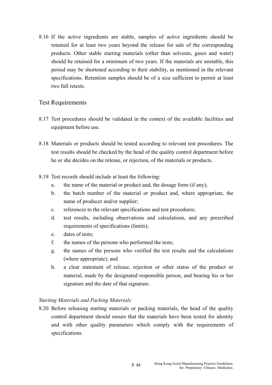8.16 If the active ingredients are stable, samples of active ingredients should be retained for at least two years beyond the release for sale of the corresponding products. Other stable starting materials (other than solvents, gases and water) should be retained for a minimum of two years. If the materials are unstable, this period may be shortened according to their stability, as mentioned in the relevant specifications. Retention samples should be of a size sufficient to permit at least two full retests.

### Test Requirements

- 8.17 Test procedures should be validated in the context of the available facilities and equipment before use.
- 8.18 Materials or products should be tested according to relevant test procedures. The test results should be checked by the head of the quality control department before he or she decides on the release, or rejection, of the materials or products.
- 8.19 Test records should include at least the following:
	- a. the name of the material or product and, the dosage form (if any);
	- b. the batch number of the material or product and, where appropriate, the name of producer and/or supplier;
	- c. references to the relevant specifications and test procedures;
	- d. test results, including observations and calculations, and any prescribed requirements of specifications (limits);
	- e. dates of tests;
	- f. the names of the persons who performed the tests;
	- g. the names of the persons who verified the test results and the calculations (where appropriate); and
	- h. a clear statement of release, rejection or other status of the product or material, made by the designated responsible person, and bearing his or her signature and the date of that signature.

#### *Starting Materials and Packing Materials*

8.20 Before releasing starting materials or packing materials, the head of the quality control department should ensure that the materials have been tested for identity and with other quality parameters which comply with the requirements of specifications.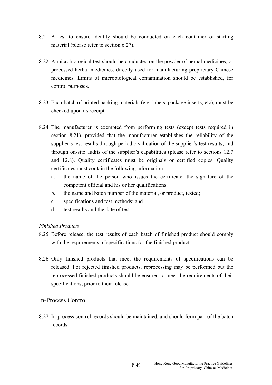- 8.21 A test to ensure identity should be conducted on each container of starting material (please refer to section 6.27).
- 8.22 A microbiological test should be conducted on the powder of herbal medicines, or processed herbal medicines, directly used for manufacturing proprietary Chinese medicines. Limits of microbiological contamination should be established, for control purposes.
- 8.23 Each batch of printed packing materials (e.g. labels, package inserts, etc), must be checked upon its receipt.
- 8.24 The manufacturer is exempted from performing tests (except tests required in section 8.21), provided that the manufacturer establishes the reliability of the supplier's test results through periodic validation of the supplier's test results, and through on-site audits of the supplier's capabilities (please refer to sections 12.7 and 12.8). Quality certificates must be originals or certified copies. Quality certificates must contain the following information:
	- a. the name of the person who issues the certificate, the signature of the competent official and his or her qualifications;
	- b. the name and batch number of the material, or product, tested;
	- c. specifications and test methods; and
	- d. test results and the date of test.

#### *Finished Products*

- 8.25 Before release, the test results of each batch of finished product should comply with the requirements of specifications for the finished product.
- 8.26 Only finished products that meet the requirements of specifications can be released. For rejected finished products, reprocessing may be performed but the reprocessed finished products should be ensured to meet the requirements of their specifications, prior to their release.

### In-Process Control

8.27 In-process control records should be maintained, and should form part of the batch records.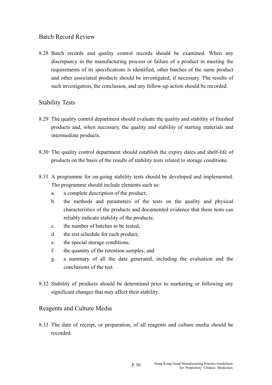# Batch Record Review

8.28 Batch records and quality control records should be examined. When any discrepancy in the manufacturing process or failure of a product in meeting the requirements of its specifications is identified, other batches of the same product and other associated products should be investigated, if necessary. The results of such investigation, the conclusion, and any follow-up action should be recorded.

# Stability Tests

- 8.29 The quality control department should evaluate the quality and stability of finished products and, when necessary, the quality and stability of starting materials and intermediate products.
- 8.30 The quality control department should establish the expiry dates and shelf-life of products on the basis of the results of stability tests related to storage conditions.
- 8.31 A programme for on-going stability tests should be developed and implemented. The programme should include elements such as:
	- a. a complete description of the product;
	- b. the methods and parameters of the tests on the quality and physical characteristics of the products and documented evidence that these tests can reliably indicate stability of the products;
	- c. the number of batches to be tested;
	- d. the test schedule for each product;
	- e. the special storage conditions;
	- f. the quantity of the retention samples; and
	- g. a summary of all the data generated, including the evaluation and the conclusions of the test.
- 8.32 Stability of products should be determined prior to marketing or following any significant changes that may affect their stability.

### Reagents and Culture Media

8.33 The date of receipt, or preparation, of all reagents and culture media should be recorded.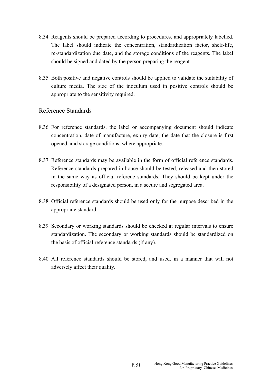- 8.34 Reagents should be prepared according to procedures, and appropriately labelled. The label should indicate the concentration, standardization factor, shelf-life, re-standardization due date, and the storage conditions of the reagents. The label should be signed and dated by the person preparing the reagent.
- 8.35 Both positive and negative controls should be applied to validate the suitability of culture media. The size of the inoculum used in positive controls should be appropriate to the sensitivity required.

### Reference Standards

- 8.36 For reference standards, the label or accompanying document should indicate concentration, date of manufacture, expiry date, the date that the closure is first opened, and storage conditions, where appropriate.
- 8.37 Reference standards may be available in the form of official reference standards. Reference standards prepared in-house should be tested, released and then stored in the same way as official referene standards. They should be kept under the responsibility of a designated person, in a secure and segregated area.
- 8.38 Official reference standards should be used only for the purpose described in the appropriate standard.
- 8.39 Secondary or working standards should be checked at regular intervals to ensure standardization. The secondary or working standards should be standardized on the basis of official reference standards (if any).
- 8.40 All reference standards should be stored, and used, in a manner that will not adversely affect their quality.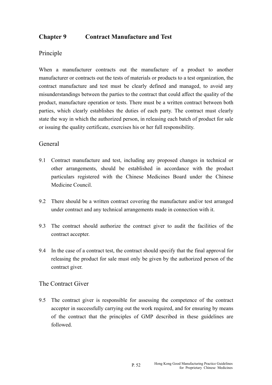# **Chapter 9 Contract Manufacture and Test**

### Principle

When a manufacturer contracts out the manufacture of a product to another manufacturer or contracts out the tests of materials or products to a test organization, the contract manufacture and test must be clearly defined and managed, to avoid any misunderstandings between the parties to the contract that could affect the quality of the product, manufacture operation or tests. There must be a written contract between both parties, which clearly establishes the duties of each party. The contract must clearly state the way in which the authorized person, in releasing each batch of product for sale or issuing the quality certificate, exercises his or her full responsibility.

### General

- 9.1 Contract manufacture and test, including any proposed changes in technical or other arrangements, should be established in accordance with the product particulars registered with the Chinese Medicines Board under the Chinese Medicine Council.
- 9.2 There should be a written contract covering the manufacture and/or test arranged under contract and any technical arrangements made in connection with it.
- 9.3 The contract should authorize the contract giver to audit the facilities of the contract accepter.
- 9.4 In the case of a contract test, the contract should specify that the final approval for releasing the product for sale must only be given by the authorized person of the contract giver.

### The Contract Giver

9.5 The contract giver is responsible for assessing the competence of the contract accepter in successfully carrying out the work required, and for ensuring by means of the contract that the principles of GMP described in these guidelines are followed.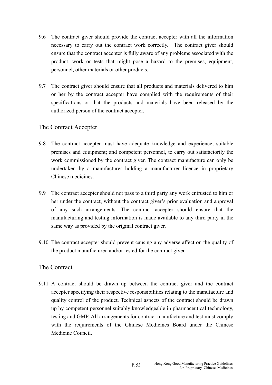- 9.6 The contract giver should provide the contract accepter with all the information necessary to carry out the contract work correctly. The contract giver should ensure that the contract accepter is fully aware of any problems associated with the product, work or tests that might pose a hazard to the premises, equipment, personnel, other materials or other products.
- 9.7 The contract giver should ensure that all products and materials delivered to him or her by the contract accepter have complied with the requirements of their specifications or that the products and materials have been released by the authorized person of the contract accepter.

### The Contract Accepter

- 9.8 The contract accepter must have adequate knowledge and experience; suitable premises and equipment; and competent personnel, to carry out satisfactorily the work commissioned by the contract giver. The contract manufacture can only be undertaken by a manufacturer holding a manufacturer licence in proprietary Chinese medicines.
- 9.9 The contract accepter should not pass to a third party any work entrusted to him or her under the contract, without the contract giver's prior evaluation and approval of any such arrangements. The contract accepter should ensure that the manufacturing and testing information is made available to any third party in the same way as provided by the original contract giver.
- 9.10 The contract accepter should prevent causing any adverse affect on the quality of the product manufactured and/or tested for the contract giver.

### The Contract

9.11 A contract should be drawn up between the contract giver and the contract accepter specifying their respective responsibilities relating to the manufacture and quality control of the product. Technical aspects of the contract should be drawn up by competent personnel suitably knowledgeable in pharmaceutical technology, testing and GMP. All arrangements for contract manufacture and test must comply with the requirements of the Chinese Medicines Board under the Chinese Medicine Council.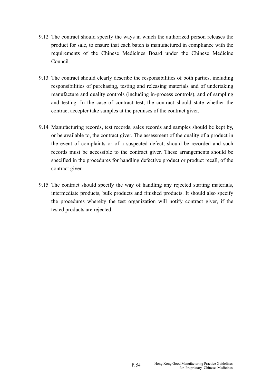- 9.12 The contract should specify the ways in which the authorized person releases the product for sale, to ensure that each batch is manufactured in compliance with the requirements of the Chinese Medicines Board under the Chinese Medicine Council.
- 9.13 The contract should clearly describe the responsibilities of both parties, including responsibilities of purchasing, testing and releasing materials and of undertaking manufacture and quality controls (including in-process controls), and of sampling and testing. In the case of contract test, the contract should state whether the contract accepter take samples at the premises of the contract giver.
- 9.14 Manufacturing records, test records, sales records and samples should be kept by, or be available to, the contract giver. The assessment of the quality of a product in the event of complaints or of a suspected defect, should be recorded and such records must be accessible to the contract giver. These arrangements should be specified in the procedures for handling defective product or product recall, of the contract giver.
- 9.15 The contract should specify the way of handling any rejected starting materials, intermediate products, bulk products and finished products. It should also specify the procedures whereby the test organization will notify contract giver, if the tested products are rejected.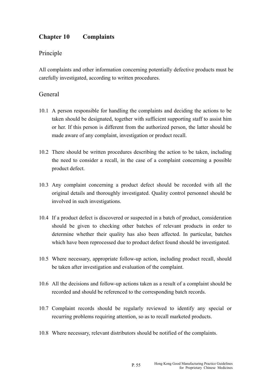# **Chapter 10 Complaints**

# Principle

All complaints and other information concerning potentially defective products must be carefully investigated, according to written procedures.

### General

- 10.1 A person responsible for handling the complaints and deciding the actions to be taken should be designated, together with sufficient supporting staff to assist him or her. If this person is different from the authorized person, the latter should be made aware of any complaint, investigation or product recall.
- 10.2 There should be written procedures describing the action to be taken, including the need to consider a recall, in the case of a complaint concerning a possible product defect.
- 10.3 Any complaint concerning a product defect should be recorded with all the original details and thoroughly investigated. Quality control personnel should be involved in such investigations.
- 10.4 If a product defect is discovered or suspected in a batch of product, consideration should be given to checking other batches of relevant products in order to determine whether their quality has also been affected. In particular, batches which have been reprocessed due to product defect found should be investigated.
- 10.5 Where necessary, appropriate follow-up action, including product recall, should be taken after investigation and evaluation of the complaint.
- 10.6 All the decisions and follow-up actions taken as a result of a complaint should be recorded and should be referenced to the corresponding batch records.
- 10.7 Complaint records should be regularly reviewed to identify any special or recurring problems requiring attention, so as to recall marketed products.
- 10.8 Where necessary, relevant distributors should be notified of the complaints.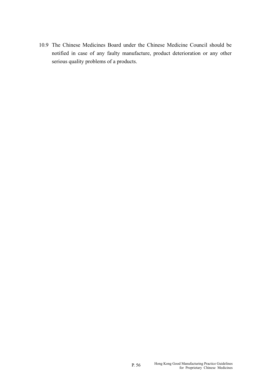10.9 The Chinese Medicines Board under the Chinese Medicine Council should be notified in case of any faulty manufacture, product deterioration or any other serious quality problems of a products.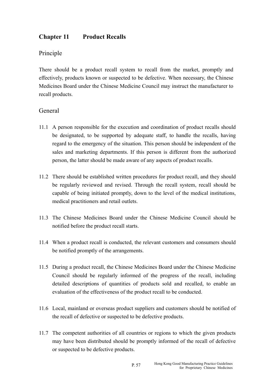# **Chapter 11 Product Recalls**

# Principle

There should be a product recall system to recall from the market, promptly and effectively, products known or suspected to be defective. When necessary, the Chinese Medicines Board under the Chinese Medicine Council may instruct the manufacturer to recall products.

### General

- 11.1 A person responsible for the execution and coordination of product recalls should be designated, to be supported by adequate staff, to handle the recalls, having regard to the emergency of the situation. This person should be independent of the sales and marketing departments. If this person is different from the authorized person, the latter should be made aware of any aspects of product recalls.
- 11.2 There should be established written procedures for product recall, and they should be regularly reviewed and revised. Through the recall system, recall should be capable of being initiated promptly, down to the level of the medical institutions, medical practitioners and retail outlets.
- 11.3 The Chinese Medicines Board under the Chinese Medicine Council should be notified before the product recall starts.
- 11.4 When a product recall is conducted, the relevant customers and consumers should be notified promptly of the arrangements.
- 11.5 During a product recall, the Chinese Medicines Board under the Chinese Medicine Council should be regularly informed of the progress of the recall, including detailed descriptions of quantities of products sold and recalled, to enable an evaluation of the effectiveness of the product recall to be conducted.
- 11.6 Local, mainland or overseas product suppliers and customers should be notified of the recall of defective or suspected to be defective products.
- 11.7 The competent authorities of all countries or regions to which the given products may have been distributed should be promptly informed of the recall of defective or suspected to be defective products.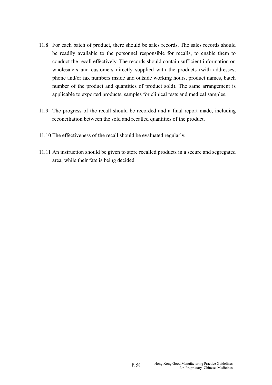- 11.8 For each batch of product, there should be sales records. The sales records should be readily available to the personnel responsible for recalls, to enable them to conduct the recall effectively. The records should contain sufficient information on wholesalers and customers directly supplied with the products (with addresses, phone and/or fax numbers inside and outside working hours, product names, batch number of the product and quantities of product sold). The same arrangement is applicable to exported products, samples for clinical tests and medical samples.
- 11.9 The progress of the recall should be recorded and a final report made, including reconciliation between the sold and recalled quantities of the product.
- 11.10 The effectiveness of the recall should be evaluated regularly.
- 11.11 An instruction should be given to store recalled products in a secure and segregated area, while their fate is being decided.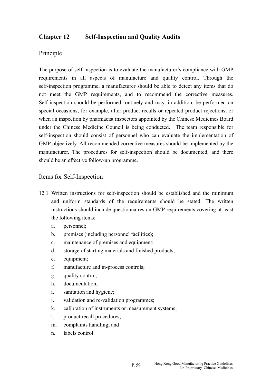# **Chapter 12 Self-Inspection and Quality Audits**

### Principle

The purpose of self-inspection is to evaluate the manufacturer's compliance with GMP requirements in all aspects of manufacture and quality control. Through the self-inspection programme, a manufacturer should be able to detect any items that do not meet the GMP requirements, and to recommend the corrective measures. Self-inspection should be performed routinely and may, in addition, be performed on special occasions, for example, after product recalls or repeated product rejections, or when an inspection by pharmacist inspectors appointed by the Chinese Medicines Board under the Chinese Medicine Council is being conducted. The team responsible for self-inspection should consist of personnel who can evaluate the implementation of GMP objectively. All recommended corrective measures should be implemented by the manufacturer. The procedures for self-inspection should be documented, and there should be an effective follow-up programme.

#### Items for Self-Inspection

- 12.1 Written instructions for self-inspection should be established and the minimum and uniform standards of the requirements should be stated. The written instructions should include questionnaires on GMP requirements covering at least the following items:
	- a. personnel;
	- b. premises (including personnel facilities);
	- c. maintenance of premises and equipment;
	- d. storage of starting materials and finished products;
	- e. equipment;
	- f. manufacture and in-process controls;
	- g. quality control;
	- h. documentation;
	- i. sanitation and hygiene;
	- j. validation and re-validation programmes;
	- k. calibration of instruments or measurement systems;
	- l. product recall procedures;
	- m. complaints handling; and
	- n. labels control.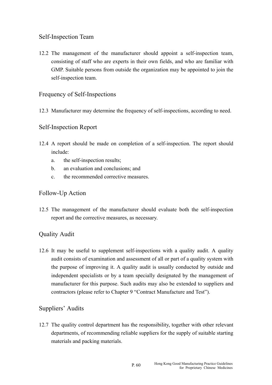# Self-Inspection Team

12.2 The management of the manufacturer should appoint a self-inspection team, consisting of staff who are experts in their own fields, and who are familiar with GMP. Suitable persons from outside the organization may be appointed to join the self-inspection team.

### Frequency of Self-Inspections

12.3 Manufacturer may determine the frequency of self-inspections, according to need.

### Self-Inspection Report

- 12.4 A report should be made on completion of a self-inspection. The report should include:
	- a. the self-inspection results;
	- b. an evaluation and conclusions; and
	- c. the recommended corrective measures.

### Follow-Up Action

12.5 The management of the manufacturer should evaluate both the self-inspection report and the corrective measures, as necessary.

# Quality Audit

12.6 It may be useful to supplement self-inspections with a quality audit. A quality audit consists of examination and assessment of all or part of a quality system with the purpose of improving it. A quality audit is usually conducted by outside and independent specialists or by a team specially designated by the management of manufacturer for this purpose. Such audits may also be extended to suppliers and contractors (please refer to Chapter 9 "Contract Manufacture and Test").

# Suppliers' Audits

12.7 The quality control department has the responsibility, together with other relevant departments, of recommending reliable suppliers for the supply of suitable starting materials and packing materials.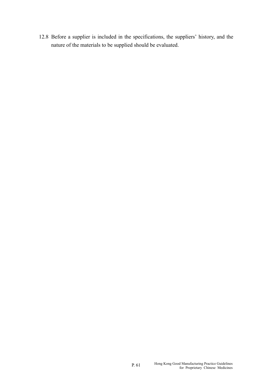12.8 Before a supplier is included in the specifications, the suppliers' history, and the nature of the materials to be supplied should be evaluated.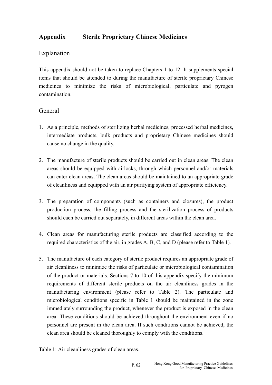# **Appendix Sterile Proprietary Chinese Medicines**

### Explanation

This appendix should not be taken to replace Chapters 1 to 12. It supplements special items that should be attended to during the manufacture of sterile proprietary Chinese medicines to minimize the risks of microbiological, particulate and pyrogen contamination.

### General

- 1. As a principle, methods of sterilizing herbal medicines, processed herbal medicines, intermediate products, bulk products and proprietary Chinese medicines should cause no change in the quality.
- 2. The manufacture of sterile products should be carried out in clean areas. The clean areas should be equipped with airlocks, through which personnel and/or materials can enter clean areas. The clean areas should be maintained to an appropriate grade of cleanliness and equipped with an air purifying system of appropriate efficiency.
- 3. The preparation of components (such as containers and closures), the product production process, the filling process and the sterilization process of products should each be carried out separately, in different areas within the clean area.
- 4. Clean areas for manufacturing sterile products are classified according to the required characteristics of the air, in grades A, B, C, and D (please refer to Table 1).
- 5. The manufacture of each category of sterile product requires an appropriate grade of air cleanliness to minimize the risks of particulate or microbiological contamination of the product or materials. Sections 7 to 10 of this appendix specify the minimum requirements of different sterile products on the air cleanliness grades in the manufacturing environment (please refer to Table 2). The particulate and microbiological conditions specific in Table 1 should be maintained in the zone immediately surrounding the product, whenever the product is exposed in the clean area. These conditions should be achieved throughout the environment even if no personnel are present in the clean area. If such conditions cannot be achieved, the clean area should be cleaned thoroughly to comply with the conditions.

Table 1: Air cleanliness grades of clean areas.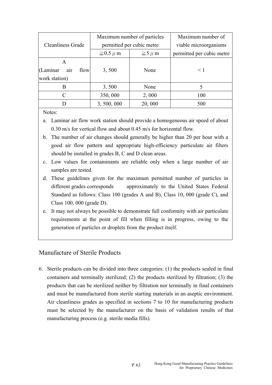|                          | Maximum number of particles |                | Maximum number of         |
|--------------------------|-----------------------------|----------------|---------------------------|
| <b>Cleanliness Grade</b> | permitted per cubic metre   |                | viable microorganisms     |
|                          | $\geq$ 0.5 $\mu$ m          | $\geq 5 \mu$ m | permitted per cubic metre |
| A                        |                             |                |                           |
| (Laminar<br>flow<br>air  | 3,500                       | None           | $\leq 1$                  |
| work station)            |                             |                |                           |
| B                        | 3,500                       | None           |                           |
| C                        | 350,000                     | 2,000          | 100                       |
|                          | 3,500,000                   | 20,000         | 500                       |

Notes:

- a. Laminar air flow work station should provide a homogeneous air speed of about 0.30 m/s for vertical flow and about 0.45 m/s for horizontal flow.
- b. The number of air changes should generally be higher than 20 per hour with a good air flow pattern and appropriate high-efficiency particulate air filters should be installed in grades B, C and D clean areas.
- c. Low values for contaminants are reliable only when a large number of air samples are tested.
- d. These guidelines given for the maximum permitted number of particles in different grades corresponds approximately to the United States Federal Standard as follows: Class 100 (grades A and B), Class 10, 000 (grade C), and Class 100, 000 (grade D).
- e. It may not always be possible to demonstrate full conformity with air particulate requirements at the point of fill when filling is in progress, owing to the generation of particles or droplets from the product itself.

# Manufacture of Sterile Products

6. Sterile products can be divided into three categories: (1) the products sealed in final containers and terminally sterilized; (2) the products sterilized by filtration; (3) the products that can be sterilized neither by filtration nor terminally in final containers and must be manufactured from sterile starting materials in an aseptic environment. Air cleanliness grades as specified in sections 7 to 10 for manufacturing products must be selected by the manufacturer on the basis of validation results of that manufacturing process (e.g. sterile media fills).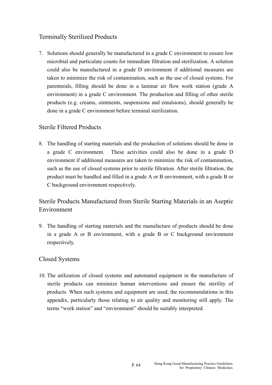# Terminally Sterilized Products

7. Solutions should generally be manufactured in a grade C environment to ensure low microbial and particulate counts for immediate filtration and sterilization. A solution could also be manufactured in a grade D environment if additional measures are taken to minimize the risk of contamination, such as the use of closed systems. For parenterals, filling should be done in a laminar air flow work station (grade A environment) in a grade C environment. The production and filling of other sterile products (e.g. creams, ointments, suspensions and emulsions), should generally be done in a grade C environment before terminal sterilization.

### Sterile Filtered Products

8. The handling of starting materials and the production of solutions should be done in a grade C environment. These activities could also be done in a grade D environment if additional measures are taken to minimize the risk of contamination, such as the use of closed systems prior to sterile filtration. After sterile filtration, the product must be handled and filled in a grade A or B environment, with a grade B or C background environment respectively.

Sterile Products Manufactured from Sterile Starting Materials in an Aseptic Environment

respectively. 9. The handling of starting materials and the manufacture of products should be done in a grade A or B environment, with a grade B or C background environment

# **Closed Systems**

10. The utilization of closed systems and automated equipment in the manufacture of sterile products can minimize human interventions and ensure the sterility of products. When such systems and equipment are used, the recommendations in this appendix, particularly those relating to air quality and monitoring still apply. The terms "work station" and "environment" should be suitably interpreted.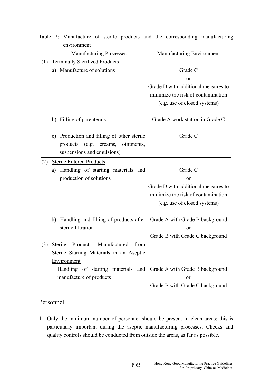| <b>Manufacturing Processes</b> |                                            | Manufacturing Environment           |  |
|--------------------------------|--------------------------------------------|-------------------------------------|--|
| (1)                            | <b>Terminally Sterilized Products</b>      |                                     |  |
|                                | a) Manufacture of solutions                | Grade C                             |  |
|                                |                                            | or                                  |  |
|                                |                                            | Grade D with additional measures to |  |
|                                |                                            | minimize the risk of contamination  |  |
|                                |                                            | (e.g. use of closed systems)        |  |
|                                |                                            |                                     |  |
|                                | b) Filling of parenterals                  | Grade A work station in Grade C     |  |
|                                | c) Production and filling of other sterile | Grade C                             |  |
|                                | products<br>(e.g. creams, ointments,       |                                     |  |
|                                | suspensions and emulsions)                 |                                     |  |
| (2)                            | <b>Sterile Filtered Products</b>           |                                     |  |
|                                | Handling of starting materials and<br>a)   | Grade C                             |  |
|                                | production of solutions                    | or                                  |  |
|                                |                                            | Grade D with additional measures to |  |
|                                |                                            | minimize the risk of contamination  |  |
|                                |                                            | (e.g. use of closed systems)        |  |
|                                |                                            |                                     |  |
|                                | b) Handling and filling of products after  | Grade A with Grade B background     |  |
|                                | sterile filtration                         | or                                  |  |
|                                |                                            | Grade B with Grade C background     |  |
| (3)                            | Sterile Products Manufactured from         |                                     |  |
|                                | Sterile Starting Materials in an Aseptic   |                                     |  |
|                                | Environment                                |                                     |  |
|                                | Handling of starting materials and         | Grade A with Grade B background     |  |
|                                | manufacture of products                    | or                                  |  |
|                                |                                            | Grade B with Grade C background     |  |

Table 2: Manufacture of sterile products and the corresponding manufacturing environment

# Personnel

11. Only the minimum number of personnel should be present in clean areas; this is particularly important during the aseptic manufacturing processes. Checks and quality controls should be conducted from outside the areas, as far as possible.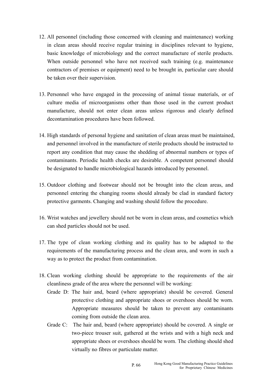- 12. All personnel (including those concerned with cleaning and maintenance) working in clean areas should receive regular training in disciplines relevant to hygiene, basic knowledge of microbiology and the correct manufacture of sterile products. When outside personnel who have not received such training (e.g. maintenance contractors of premises or equipment) need to be brought in, particular care should be taken over their supervision.
- 13. Personnel who have engaged in the processing of animal tissue materials, or of culture media of microorganisms other than those used in the current product manufacture, should not enter clean areas unless rigorous and clearly defined decontamination procedures have been followed.
- 14. High standards of personal hygiene and sanitation of clean areas must be maintained, and personnel involved in the manufacture of sterile products should be instructed to report any condition that may cause the shedding of abnormal numbers or types of contaminants. Periodic health checks are desirable. A competent personnel should be designated to handle microbiological hazards introduced by personnel.
- 15. Outdoor clothing and footwear should not be brought into the clean areas, and personnel entering the changing rooms should already be clad in standard factory protective garments. Changing and washing should follow the procedure.
- 16. Wrist watches and jewellery should not be worn in clean areas, and cosmetics which can shed particles should not be used.
- 17. The type of clean working clothing and its quality has to be adapted to the requirements of the manufacturing process and the clean area, and worn in such a way as to protect the product from contamination.
- 18. Clean working clothing should be appropriate to the requirements of the air cleanliness grade of the area where the personnel will be working:
	- Grade D: The hair and, beard (where appropriate) should be covered. General protective clothing and appropriate shoes or overshoes should be worn. Appropriate measures should be taken to prevent any contaminants coming from outside the clean area.
	- Grade C: The hair and, beard (where appropriate) should be covered. A single or two-piece trouser suit, gathered at the wrists and with a high neck and appropriate shoes or overshoes should be worn. The clothing should shed virtually no fibres or particulate matter.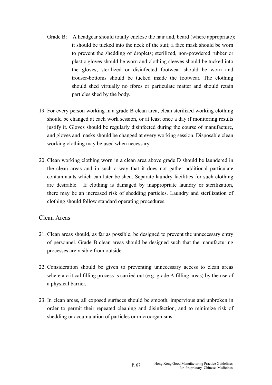- Grade B: A headgear should totally enclose the hair and, beard (where appropriate); it should be tucked into the neck of the suit; a face mask should be worn to prevent the shedding of droplets; sterilized, non-powdered rubber or plastic gloves should be worn and clothing sleeves should be tucked into the gloves; sterilized or disinfected footwear should be worn and trouser-bottoms should be tucked inside the footwear. The clothing should shed virtually no fibres or particulate matter and should retain particles shed by the body.
- 19. For every person working in a grade B clean area, clean sterilized working clothing should be changed at each work session, or at least once a day if monitoring results justify it. Gloves should be regularly disinfected during the course of manufacture, and gloves and masks should be changed at every working session. Disposable clean working clothing may be used when necessary.
- 20. Clean working clothing worn in a clean area above grade D should be laundered in the clean areas and in such a way that it does not gather additional particulate contaminants which can later be shed. Separate laundry facilities for such clothing are desirable. If clothing is damaged by inappropriate laundry or sterilization, there may be an increased risk of shedding particles. Laundry and sterilization of clothing should follow standard operating procedures.

### Clean Areas

- 21. Clean areas should, as far as possible, be designed to prevent the unnecessary entry of personnel. Grade B clean areas should be designed such that the manufacturing processes are visible from outside.
- 22. Consideration should be given to preventing unnecessary access to clean areas where a critical filling process is carried out (e.g. grade A filling areas) by the use of a physical barrier.
- 23. In clean areas, all exposed surfaces should be smooth, impervious and unbroken in order to permit their repeated cleaning and disinfection, and to minimize risk of shedding or accumulation of particles or microorganisms.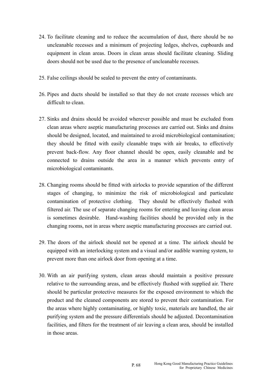- 24. To facilitate cleaning and to reduce the accumulation of dust, there should be no uncleanable recesses and a minimum of projecting ledges, shelves, cupboards and equipment in clean areas. Doors in clean areas should facilitate cleaning. Sliding doors should not be used due to the presence of uncleanable recesses.
- 25. False ceilings should be sealed to prevent the entry of contaminants.
- 26. Pipes and ducts should be installed so that they do not create recesses which are difficult to clean.
- 27. Sinks and drains should be avoided wherever possible and must be excluded from clean areas where aseptic manufacturing processes are carried out. Sinks and drains should be designed, located, and maintained to avoid microbiological contamination; they should be fitted with easily cleanable traps with air breaks, to effectively prevent back-flow. Any floor channel should be open, easily cleanable and be connected to drains outside the area in a manner which prevents entry of microbiological contaminants.
- 28. Changing rooms should be fitted with airlocks to provide separation of the different stages of changing, to minimize the risk of microbiological and particulate contamination of protective clothing. They should be effectively flushed with filtered air. The use of separate changing rooms for entering and leaving clean areas is sometimes desirable. Hand-washing facilities should be provided only in the changing rooms, not in areas where aseptic manufacturing processes are carried out.
- 29. The doors of the airlock should not be opened at a time. The airlock should be equipped with an interlocking system and a visual and/or audible warning system, to prevent more than one airlock door from opening at a time.
- 30. With an air purifying system, clean areas should maintain a positive pressure relative to the surrounding areas, and be effectively flushed with supplied air. There should be particular protective measures for the exposed environment to which the product and the cleaned components are stored to prevent their contamination. For the areas where highly contaminating, or highly toxic, materials are handled, the air purifying system and the pressure differentials should be adjusted. Decontamination facilities, and filters for the treatment of air leaving a clean area, should be installed in those areas.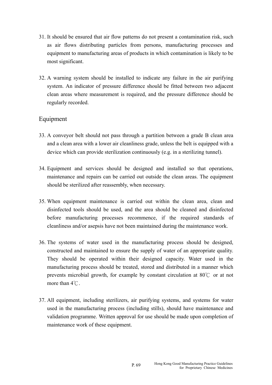- 31. It should be ensured that air flow patterns do not present a contamination risk, such as air flows distributing particles from persons, manufacturing processes and equipment to manufacturing areas of products in which contamination is likely to be most significant.
- 32. A warning system should be installed to indicate any failure in the air purifying system. An indicator of pressure difference should be fitted between two adjacent clean areas where measurement is required, and the pressure difference should be regularly recorded.

### Equipment

- 33. A conveyor belt should not pass through a partition between a grade B clean area and a clean area with a lower air cleanliness grade, unless the belt is equipped with a device which can provide sterilization continuously (e.g. in a sterilizing tunnel).
- 34. Equipment and services should be designed and installed so that operations, maintenance and repairs can be carried out outside the clean areas. The equipment should be sterilized after reassembly, when necessary.
- 35. When equipment maintenance is carried out within the clean area, clean and disinfected tools should be used, and the area should be cleaned and disinfected before manufacturing processes recommence, if the required standards of cleanliness and/or asepsis have not been maintained during the maintenance work.
- prevents microbial growth, for example by constant circulation at 80℃ or at not 36. The systems of water used in the manufacturing process should be designed, constructed and maintained to ensure the supply of water of an appropriate quality. They should be operated within their designed capacity. Water used in the manufacturing process should be treated, stored and distributed in a manner which more than 4<sup>°</sup>C.
- 37. All equipment, including sterilizers, air purifying systems, and systems for water used in the manufacturing process (including stills), should have maintenance and validation programme. Written approval for use should be made upon completion of maintenance work of these equipment.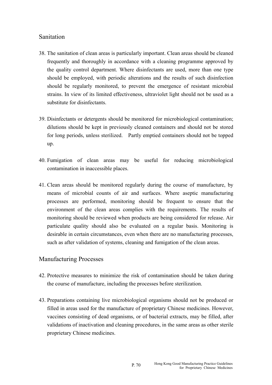# Sanitation

- 38. The sanitation of clean areas is particularly important. Clean areas should be cleaned frequently and thoroughly in accordance with a cleaning programme approved by the quality control department. Where disinfectants are used, more than one type should be employed, with periodic alterations and the results of such disinfection should be regularly monitored, to prevent the emergence of resistant microbial strains. In view of its limited effectiveness, ultraviolet light should not be used as a substitute for disinfectants.
- 39. Disinfectants or detergents should be monitored for microbiological contamination; dilutions should be kept in previously cleaned containers and should not be stored for long periods, unless sterilized. Partly emptied containers should not be topped up.
- 40. Fumigation of clean areas may be useful for reducing microbiological contamination in inaccessible places.
- 41. Clean areas should be monitored regularly during the course of manufacture, by means of microbial counts of air and surfaces. Where aseptic manufacturing processes are performed, monitoring should be frequent to ensure that the environment of the clean areas complies with the requirements. The results of monitoring should be reviewed when products are being considered for release. Air particulate quality should also be evaluated on a regular basis. Monitoring is desirable in certain circumstances, even when there are no manufacturing processes, such as after validation of systems, cleaning and fumigation of the clean areas.

### Manufacturing Processes

- 42. Protective measures to minimize the risk of contamination should be taken during the course of manufacture, including the processes before sterilization.
- 43. Preparations containing live microbiological organisms should not be produced or filled in areas used for the manufacture of proprietary Chinese medicines. However, vaccines consisting of dead organisms, or of bacterial extracts, may be filled, after validations of inactivation and cleaning procedures, in the same areas as other sterile proprietary Chinese medicines.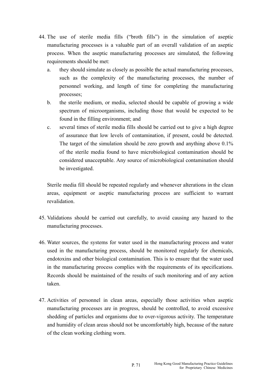- 44. The use of sterile media fills ("broth fills") in the simulation of aseptic manufacturing processes is a valuable part of an overall validation of an aseptic process. When the aseptic manufacturing processes are simulated, the following requirements should be met:
	- a. they should simulate as closely as possible the actual manufacturing processes, such as the complexity of the manufacturing processes, the number of personnel working, and length of time for completing the manufacturing processes;
	- b. the sterile medium, or media, selected should be capable of growing a wide spectrum of microorganisms, including those that would be expected to be found in the filling environment; and
	- c. several times of sterile media fills should be carried out to give a high degree of assurance that low levels of contamination, if present, could be detected. The target of the simulation should be zero growth and anything above 0.1% of the sterile media found to have microbiological contamination should be considered unacceptable. Any source of microbiological contamination should be investigated.

Sterile media fill should be repeated regularly and whenever alterations in the clean areas, equipment or aseptic manufacturing process are sufficient to warrant revalidation.

- 45. Validations should be carried out carefully, to avoid causing any hazard to the manufacturing processes.
- 46. Water sources, the systems for water used in the manufacturing process and water used in the manufacturing process, should be monitored regularly for chemicals, endotoxins and other biological contamination. This is to ensure that the water used in the manufacturing process complies with the requirements of its specifications. Records should be maintained of the results of such monitoring and of any action taken.
- 47. Activities of personnel in clean areas, especially those activities when aseptic manufacturing processes are in progress, should be controlled, to avoid excessive shedding of particles and organisms due to over-vigorous activity. The temperature and humidity of clean areas should not be uncomfortably high, because of the nature of the clean working clothing worn.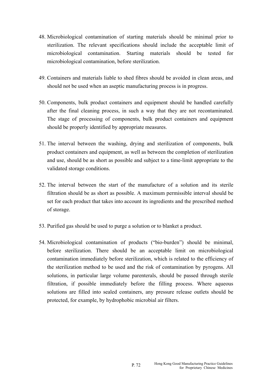- 48. Microbiological contamination of starting materials should be minimal prior to sterilization. The relevant specifications should include the acceptable limit of microbiological contamination. Starting materials should be tested for microbiological contamination, before sterilization.
- 49. Containers and materials liable to shed fibres should be avoided in clean areas, and should not be used when an aseptic manufacturing process is in progress.
- 50. Components, bulk product containers and equipment should be handled carefully after the final cleaning process, in such a way that they are not recontaminated. The stage of processing of components, bulk product containers and equipment should be properly identified by appropriate measures.
- 51. The interval between the washing, drying and sterilization of components, bulk product containers and equipment, as well as between the completion of sterilization and use, should be as short as possible and subject to a time-limit appropriate to the validated storage conditions.
- 52. The interval between the start of the manufacture of a solution and its sterile filtration should be as short as possible. A maximum permissible interval should be set for each product that takes into account its ingredients and the prescribed method of storage.
- 53. Purified gas should be used to purge a solution or to blanket a product.
- 54. Microbiological contamination of products ("bio-burden") should be minimal, before sterilization. There should be an acceptable limit on microbiological contamination immediately before sterilization, which is related to the efficiency of the sterilization method to be used and the risk of contamination by pyrogens. All solutions, in particular large volume parenterals, should be passed through sterile filtration, if possible immediately before the filling process. Where aqueous solutions are filled into sealed containers, any pressure release outlets should be protected, for example, by hydrophobic microbial air filters.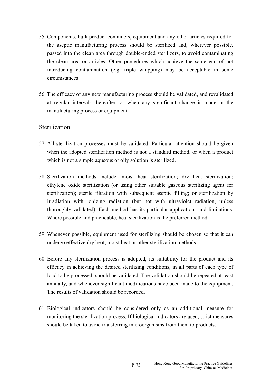- 55. Components, bulk product containers, equipment and any other articles required for the aseptic manufacturing process should be sterilized and, wherever possible, passed into the clean area through double-ended sterilizers, to avoid contaminating the clean area or articles. Other procedures which achieve the same end of not introducing contamination (e.g. triple wrapping) may be acceptable in some circumstances.
- 56. The efficacy of any new manufacturing process should be validated, and revalidated at regular intervals thereafter, or when any significant change is made in the manufacturing process or equipment.

#### **Sterilization**

- 57. All sterilization processes must be validated. Particular attention should be given when the adopted sterilization method is not a standard method, or when a product which is not a simple aqueous or oily solution is sterilized.
- 58. Sterilization methods include: moist heat sterilization; dry heat sterilization; ethylene oxide sterilization (or using other suitable gaseous sterilizing agent for sterilization); sterile filtration with subsequent aseptic filling; or sterilization by irradiation with ionizing radiation (but not with ultraviolet radiation, unless thoroughly validated). Each method has its particular applications and limitations. Where possible and practicable, heat sterilization is the preferred method.
- 59. Whenever possible, equipment used for sterilizing should be chosen so that it can undergo effective dry heat, moist heat or other sterilization methods.
- 60. Before any sterilization process is adopted, its suitability for the product and its efficacy in achieving the desired sterilizing conditions, in all parts of each type of load to be processed, should be validated. The validation should be repeated at least annually, and whenever significant modifications have been made to the equipment. The results of validation should be recorded.
- 61. Biological indicators should be considered only as an additional measure for monitoring the sterilization process. If biological indicators are used, strict measures should be taken to avoid transferring microorganisms from them to products.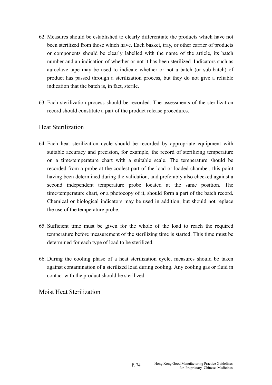- 62. Measures should be established to clearly differentiate the products which have not been sterilized from those which have. Each basket, tray, or other carrier of products or components should be clearly labelled with the name of the article, its batch number and an indication of whether or not it has been sterilized. Indicators such as autoclave tape may be used to indicate whether or not a batch (or sub-batch) of product has passed through a sterilization process, but they do not give a reliable indication that the batch is, in fact, sterile.
- 63. Each sterilization process should be recorded. The assessments of the sterilization record should constitute a part of the product release procedures.

#### Heat Sterilization

- 64. Each heat sterilization cycle should be recorded by appropriate equipment with suitable accuracy and precision, for example, the record of sterilizing temperature on a time/temperature chart with a suitable scale. The temperature should be recorded from a probe at the coolest part of the load or loaded chamber, this point having been determined during the validation, and preferably also checked against a second independent temperature probe located at the same position. The time/temperature chart, or a photocopy of it, should form a part of the batch record. Chemical or biological indicators may be used in addition, but should not replace the use of the temperature probe.
- 65. Sufficient time must be given for the whole of the load to reach the required temperature before measurement of the sterilizing time is started. This time must be determined for each type of load to be sterilized.
- 66. During the cooling phase of a heat sterilization cycle, measures should be taken against contamination of a sterilized load during cooling. Any cooling gas or fluid in contact with the product should be sterilized.

Moist Heat Sterilization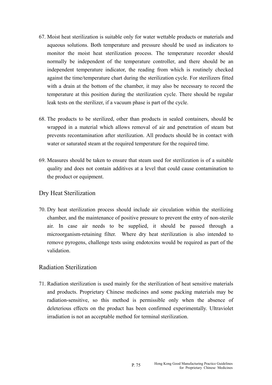- 67. Moist heat sterilization is suitable only for water wettable products or materials and aqueous solutions. Both temperature and pressure should be used as indicators to monitor the moist heat sterilization process. The temperature recorder should normally be independent of the temperature controller, and there should be an independent temperature indicator, the reading from which is routinely checked against the time/temperature chart during the sterilization cycle. For sterilizers fitted with a drain at the bottom of the chamber, it may also be necessary to record the temperature at this position during the sterilization cycle. There should be regular leak tests on the sterilizer, if a vacuum phase is part of the cycle.
- 68. The products to be sterilized, other than products in sealed containers, should be wrapped in a material which allows removal of air and penetration of steam but prevents recontamination after sterilization. All products should be in contact with water or saturated steam at the required temperature for the required time.
- 69. Measures should be taken to ensure that steam used for sterilization is of a suitable quality and does not contain additives at a level that could cause contamination to the product or equipment.

### Dry Heat Sterilization

70. Dry heat sterilization process should include air circulation within the sterilizing chamber, and the maintenance of positive pressure to prevent the entry of non-sterile air. In case air needs to be supplied, it should be passed through a microorganism-retaining filter. Where dry heat sterilization is also intended to remove pyrogens, challenge tests using endotoxins would be required as part of the validation.

## Radiation Sterilization

71. Radiation sterilization is used mainly for the sterilization of heat sensitive materials and products. Proprietary Chinese medicines and some packing materials may be radiation-sensitive, so this method is permissible only when the absence of deleterious effects on the product has been confirmed experimentally. Ultraviolet irradiation is not an acceptable method for terminal sterilization.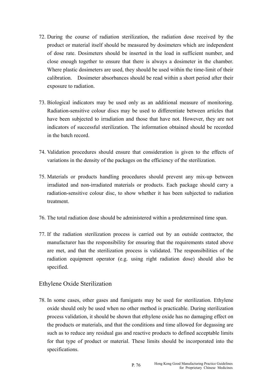- close enough together to ensure that there is always a dosimeter in the chamber. Where plastic dosimeters are used, they should be used within the time-limit of their 72. During the course of radiation sterilization, the radiation dose received by the product or material itself should be measured by dosimeters which are independent of dose rate. Dosimeters should be inserted in the load in sufficient number, and calibration. Dosimeter absorbances should be read within a short period after their exposure to radiation.
- 73. Biological indicators may be used only as an additional measure of monitoring. Radiation-sensitive colour discs may be used to differentiate between articles that have been subjected to irradiation and those that have not. However, they are not indicators of successful sterilization. The information obtained should be recorded in the batch record.
- 74. Validation procedures should ensure that consideration is given to the effects of variations in the density of the packages on the efficiency of the sterilization.
- 75. Materials or products handling procedures should prevent any mix-up between irradiated and non-irradiated materials or products. Each package should carry a radiation-sensitive colour disc, to show whether it has been subjected to radiation treatment.
- 76. The total radiation dose should be administered within a predetermined time span.
- 77. If the radiation sterilization process is carried out by an outside contractor, the manufacturer has the responsibility for ensuring that the requirements stated above are met, and that the sterilization process is validated. The responsibilities of the radiation equipment operator (e.g. using right radiation dose) should also be specified.

#### Ethylene Oxide Sterilization

78. In some cases, other gases and fumigants may be used for sterilization. Ethylene oxide should only be used when no other method is practicable. During sterilization process validation, it should be shown that ethylene oxide has no damaging effect on the products or materials, and that the conditions and time allowed for degassing are such as to reduce any residual gas and reactive products to defined acceptable limits for that type of product or material. These limits should be incorporated into the specifications.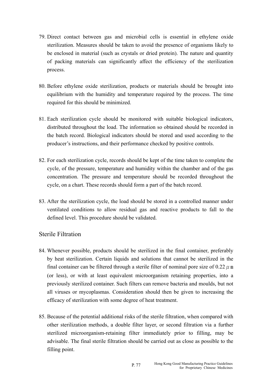- 79. Direct contact between gas and microbial cells is essential in ethylene oxide sterilization. Measures should be taken to avoid the presence of organisms likely to be enclosed in material (such as crystals or dried protein). The nature and quantity of packing materials can significantly affect the efficiency of the sterilization process.
- 80. Before ethylene oxide sterilization, products or materials should be brought into equilibrium with the humidity and temperature required by the process. The time required for this should be minimized.
- 81. Each sterilization cycle should be monitored with suitable biological indicators, distributed throughout the load. The information so obtained should be recorded in the batch record. Biological indicators should be stored and used according to the producer's instructions, and their performance checked by positive controls.
- 82. For each sterilization cycle, records should be kept of the time taken to complete the cycle, of the pressure, temperature and humidity within the chamber and of the gas concentration. The pressure and temperature should be recorded throughout the cycle, on a chart. These records should form a part of the batch record.
- 83. After the sterilization cycle, the load should be stored in a controlled manner under ventilated conditions to allow residual gas and reactive products to fall to the defined level. This procedure should be validated.

#### Sterile Filtration

- 84. Whenever possible, products should be sterilized in the final container, preferably by heat sterilization. Certain liquids and solutions that cannot be sterilized in the final container can be filtered through a sterile filter of nominal pore size of 0.22  $\mu$  m (or less), or with at least equivalent microorganism retaining properties, into a previously sterilized container. Such filters can remove bacteria and moulds, but not all viruses or mycoplasmas. Consideration should then be given to increasing the efficacy of sterilization with some degree of heat treatment.
- 85. Because of the potential additional risks of the sterile filtration, when compared with other sterilization methods, a double filter layer, or second filtration via a further sterilized microorganism-retaining filter immediately prior to filling, may be advisable. The final sterile filtration should be carried out as close as possible to the filling point.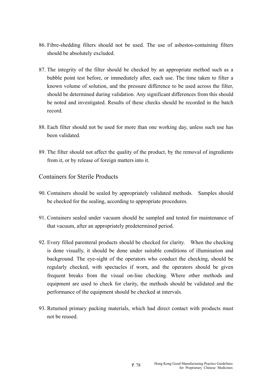- 86. Fibre-shedding filters should not be used. The use of asbestos-containing filters should be absolutely excluded.
- 87. The integrity of the filter should be checked by an appropriate method such as a bubble point test before, or immediately after, each use. The time taken to filter a known volume of solution, and the pressure difference to be used across the filter, should be determined during validation. Any significant differences from this should be noted and investigated. Results of these checks should be recorded in the batch record.
- 88. Each filter should not be used for more than one working day, unless such use has been validated.
- 89. The filter should not affect the quality of the product, by the removal of ingredients from it, or by release of foreign matters into it.

## Containers for Sterile Products

- 90. Containers should be sealed by appropriately validated methods. Samples should be checked for the sealing, according to appropriate procedures.
- 91. Containers sealed under vacuum should be sampled and tested for maintenance of that vacuum, after an appropriately predetermined period.
- 92. Every filled parenteral products should be checked for clarity. When the checking is done visually, it should be done under suitable conditions of illumination and background. The eye-sight of the operators who conduct the checking, should be regularly checked, with spectacles if worn, and the operators should be given frequent breaks from the visual on-line checking. Where other methods and equipment are used to check for clarity, the methods should be validated and the performance of the equipment should be checked at intervals.
- 93. Returned primary packing materials, which had direct contact with products must not be reused.